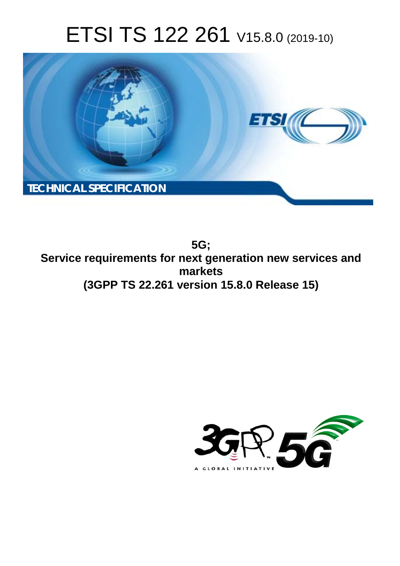# ETSI TS 122 261 V15.8.0 (2019-10)



**5G; Service requirements for next generation new services and markets (3GPP TS 22.261 version 15.8.0 Release 15)** 

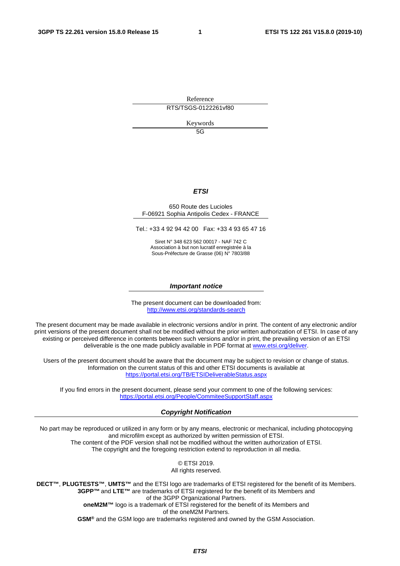Reference

RTS/TSGS-0122261vf80

Keywords

5G

#### *ETSI*

#### 650 Route des Lucioles F-06921 Sophia Antipolis Cedex - FRANCE

Tel.: +33 4 92 94 42 00 Fax: +33 4 93 65 47 16

Siret N° 348 623 562 00017 - NAF 742 C Association à but non lucratif enregistrée à la Sous-Préfecture de Grasse (06) N° 7803/88

#### *Important notice*

The present document can be downloaded from: <http://www.etsi.org/standards-search>

The present document may be made available in electronic versions and/or in print. The content of any electronic and/or print versions of the present document shall not be modified without the prior written authorization of ETSI. In case of any existing or perceived difference in contents between such versions and/or in print, the prevailing version of an ETSI deliverable is the one made publicly available in PDF format at [www.etsi.org/deliver](http://www.etsi.org/deliver).

Users of the present document should be aware that the document may be subject to revision or change of status. Information on the current status of this and other ETSI documents is available at <https://portal.etsi.org/TB/ETSIDeliverableStatus.aspx>

If you find errors in the present document, please send your comment to one of the following services: <https://portal.etsi.org/People/CommiteeSupportStaff.aspx>

#### *Copyright Notification*

No part may be reproduced or utilized in any form or by any means, electronic or mechanical, including photocopying and microfilm except as authorized by written permission of ETSI. The content of the PDF version shall not be modified without the written authorization of ETSI. The copyright and the foregoing restriction extend to reproduction in all media.

> © ETSI 2019. All rights reserved.

**DECT™**, **PLUGTESTS™**, **UMTS™** and the ETSI logo are trademarks of ETSI registered for the benefit of its Members. **3GPP™** and **LTE™** are trademarks of ETSI registered for the benefit of its Members and of the 3GPP Organizational Partners. **oneM2M™** logo is a trademark of ETSI registered for the benefit of its Members and of the oneM2M Partners. **GSM®** and the GSM logo are trademarks registered and owned by the GSM Association.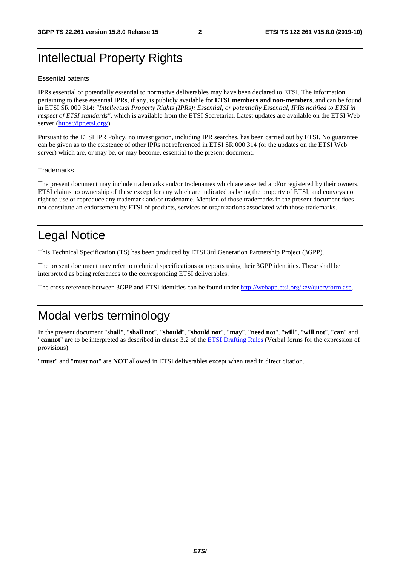# Intellectual Property Rights

#### Essential patents

IPRs essential or potentially essential to normative deliverables may have been declared to ETSI. The information pertaining to these essential IPRs, if any, is publicly available for **ETSI members and non-members**, and can be found in ETSI SR 000 314: *"Intellectual Property Rights (IPRs); Essential, or potentially Essential, IPRs notified to ETSI in respect of ETSI standards"*, which is available from the ETSI Secretariat. Latest updates are available on the ETSI Web server ([https://ipr.etsi.org/\)](https://ipr.etsi.org/).

Pursuant to the ETSI IPR Policy, no investigation, including IPR searches, has been carried out by ETSI. No guarantee can be given as to the existence of other IPRs not referenced in ETSI SR 000 314 (or the updates on the ETSI Web server) which are, or may be, or may become, essential to the present document.

#### **Trademarks**

The present document may include trademarks and/or tradenames which are asserted and/or registered by their owners. ETSI claims no ownership of these except for any which are indicated as being the property of ETSI, and conveys no right to use or reproduce any trademark and/or tradename. Mention of those trademarks in the present document does not constitute an endorsement by ETSI of products, services or organizations associated with those trademarks.

# Legal Notice

This Technical Specification (TS) has been produced by ETSI 3rd Generation Partnership Project (3GPP).

The present document may refer to technical specifications or reports using their 3GPP identities. These shall be interpreted as being references to the corresponding ETSI deliverables.

The cross reference between 3GPP and ETSI identities can be found under<http://webapp.etsi.org/key/queryform.asp>.

# Modal verbs terminology

In the present document "**shall**", "**shall not**", "**should**", "**should not**", "**may**", "**need not**", "**will**", "**will not**", "**can**" and "**cannot**" are to be interpreted as described in clause 3.2 of the [ETSI Drafting Rules](https://portal.etsi.org/Services/editHelp!/Howtostart/ETSIDraftingRules.aspx) (Verbal forms for the expression of provisions).

"**must**" and "**must not**" are **NOT** allowed in ETSI deliverables except when used in direct citation.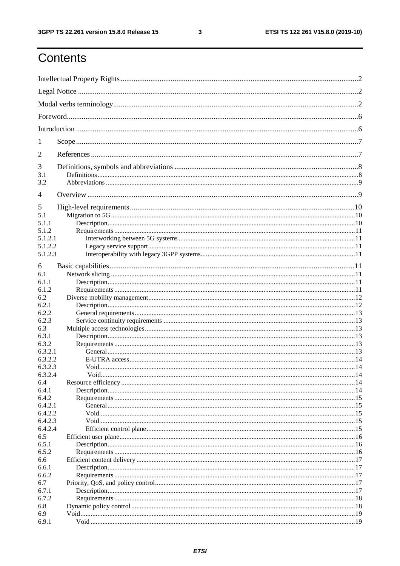ETSI TS 122 261 V15.8.0 (2019-10)

# Contents

| 1              |      |  |
|----------------|------|--|
| 2              |      |  |
| 3              |      |  |
| 3.1<br>3.2     |      |  |
| $\overline{4}$ |      |  |
| 5              |      |  |
| 5.1            |      |  |
| 5.1.1          |      |  |
| 5.1.2          |      |  |
| 5.1.2.1        |      |  |
| 5.1.2.2        |      |  |
| 5.1.2.3        |      |  |
|                |      |  |
| 6              |      |  |
| 6.1            |      |  |
| 6.1.1          |      |  |
| 6.1.2          |      |  |
| 6.2            |      |  |
| 6.2.1          |      |  |
| 6.2.2          |      |  |
| 6.2.3          |      |  |
| 6.3            |      |  |
| 6.3.1          |      |  |
| 6.3.2          |      |  |
| 6.3.2.1        |      |  |
| 6.3.2.2        |      |  |
| 6.3.2.3        |      |  |
| 6.3.2.4        | Void |  |
| 6.4            |      |  |
| 6.4.1          |      |  |
| 6.4.2          |      |  |
| 6.4.2.1        |      |  |
| 6.4.2.2        |      |  |
| 6.4.2.3        |      |  |
| 6.4.2.4        |      |  |
| 6.5            |      |  |
| 6.5.1          |      |  |
| 6.5.2          |      |  |
| 6.6            |      |  |
| 6.6.1          |      |  |
| 6.6.2          |      |  |
| 6.7            |      |  |
| 6.7.1          |      |  |
| 6.7.2          |      |  |
| 6.8            |      |  |
| 6.9            |      |  |
| 6.9.1          |      |  |
|                |      |  |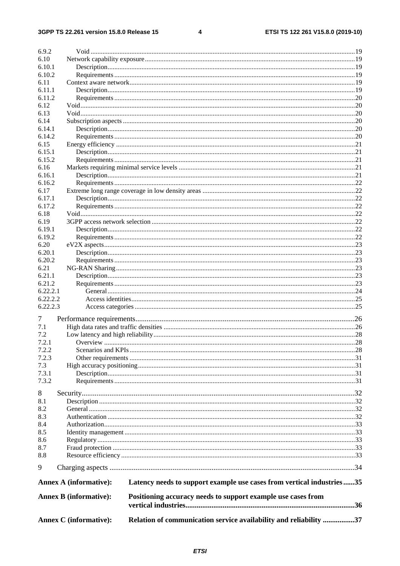$\overline{\mathbf{4}}$ 

| 6.9.2    |                               |                                                                       |  |
|----------|-------------------------------|-----------------------------------------------------------------------|--|
| 6.10     |                               |                                                                       |  |
| 6.10.1   |                               |                                                                       |  |
| 6.10.2   |                               |                                                                       |  |
| 6.11     |                               |                                                                       |  |
| 6.11.1   |                               |                                                                       |  |
| 6.11.2   |                               |                                                                       |  |
| 6.12     |                               |                                                                       |  |
| 6.13     |                               |                                                                       |  |
| 6.14     |                               |                                                                       |  |
| 6.14.1   |                               |                                                                       |  |
| 6.14.2   |                               |                                                                       |  |
| 6.15     |                               |                                                                       |  |
| 6.15.1   |                               |                                                                       |  |
| 6.15.2   |                               |                                                                       |  |
| 6.16     |                               |                                                                       |  |
| 6.16.1   |                               |                                                                       |  |
| 6.16.2   |                               |                                                                       |  |
| 6.17     |                               |                                                                       |  |
| 6.17.1   |                               |                                                                       |  |
| 6.17.2   |                               |                                                                       |  |
| 6.18     |                               |                                                                       |  |
| 6.19     |                               |                                                                       |  |
| 6.19.1   |                               |                                                                       |  |
| 6.19.2   |                               |                                                                       |  |
| 6.20     |                               |                                                                       |  |
| 6.20.1   |                               |                                                                       |  |
| 6.20.2   |                               |                                                                       |  |
| 6.21     |                               |                                                                       |  |
| 6.21.1   |                               |                                                                       |  |
| 6.21.2   |                               |                                                                       |  |
| 6.22.2.1 |                               |                                                                       |  |
| 6.22.2.2 |                               |                                                                       |  |
| 6.22.2.3 |                               |                                                                       |  |
| 7        |                               |                                                                       |  |
| 7.1      |                               |                                                                       |  |
| 7.2      |                               |                                                                       |  |
| 7.2.1    |                               |                                                                       |  |
| 7.2.2    |                               |                                                                       |  |
| 7.2.3    |                               |                                                                       |  |
| 7.3      |                               |                                                                       |  |
| 7.3.1    |                               |                                                                       |  |
| 7.3.2    |                               |                                                                       |  |
|          |                               |                                                                       |  |
| 8        |                               |                                                                       |  |
| 8.1      |                               |                                                                       |  |
| 8.2      |                               |                                                                       |  |
| 8.3      |                               |                                                                       |  |
| 8.4      |                               |                                                                       |  |
| 8.5      |                               |                                                                       |  |
| 8.6      |                               |                                                                       |  |
| 8.7      |                               |                                                                       |  |
| 8.8      |                               |                                                                       |  |
| 9        |                               |                                                                       |  |
|          | <b>Annex A (informative):</b> | Latency needs to support example use cases from vertical industries35 |  |
|          | <b>Annex B</b> (informative): | Positioning accuracy needs to support example use cases from          |  |
|          |                               |                                                                       |  |
|          |                               |                                                                       |  |
|          | <b>Annex C</b> (informative): | Relation of communication service availability and reliability 37     |  |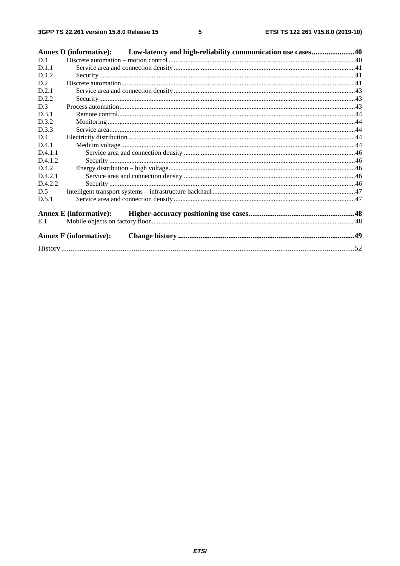|         | Annex D (informative): Low-latency and high-reliability communication use cases40 |  |
|---------|-----------------------------------------------------------------------------------|--|
| D.1     |                                                                                   |  |
| D.1.1   |                                                                                   |  |
| D.1.2   |                                                                                   |  |
| D.2     |                                                                                   |  |
| D.2.1   |                                                                                   |  |
| D.2.2   |                                                                                   |  |
| D.3     |                                                                                   |  |
| D.3.1   |                                                                                   |  |
| D.3.2   |                                                                                   |  |
| D.3.3   |                                                                                   |  |
| D.4     |                                                                                   |  |
| D.4.1   |                                                                                   |  |
| D.4.1.1 |                                                                                   |  |
| D.4.1.2 |                                                                                   |  |
| D.4.2   |                                                                                   |  |
| D.4.2.1 |                                                                                   |  |
| D.4.2.2 |                                                                                   |  |
| D.5     |                                                                                   |  |
| D.5.1   |                                                                                   |  |
|         | <b>Annex E</b> (informative):                                                     |  |
| E.1     |                                                                                   |  |
|         | <b>Annex F</b> (informative):                                                     |  |
|         |                                                                                   |  |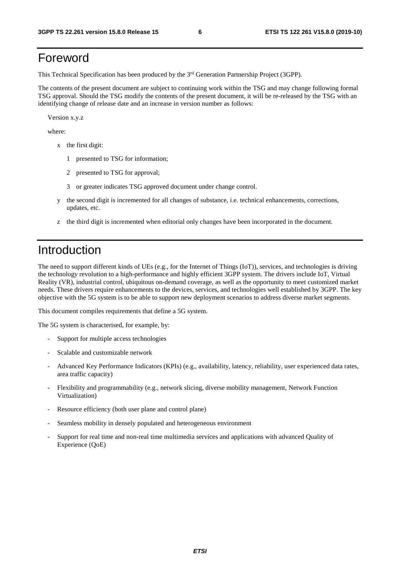# Foreword

This Technical Specification has been produced by the 3rd Generation Partnership Project (3GPP).

The contents of the present document are subject to continuing work within the TSG and may change following formal TSG approval. Should the TSG modify the contents of the present document, it will be re-released by the TSG with an identifying change of release date and an increase in version number as follows:

Version x.y.z

where:

- x the first digit:
	- 1 presented to TSG for information;
	- 2 presented to TSG for approval;
	- 3 or greater indicates TSG approved document under change control.
- y the second digit is incremented for all changes of substance, i.e. technical enhancements, corrections, updates, etc.
- z the third digit is incremented when editorial only changes have been incorporated in the document.

# Introduction

The need to support different kinds of UEs (e.g., for the Internet of Things (IoT)), services, and technologies is driving the technology revolution to a high-performance and highly efficient 3GPP system. The drivers include IoT, Virtual Reality (VR), industrial control, ubiquitous on-demand coverage, as well as the opportunity to meet customized market needs. These drivers require enhancements to the devices, services, and technologies well established by 3GPP. The key objective with the 5G system is to be able to support new deployment scenarios to address diverse market segments.

This document compiles requirements that define a 5G system.

The 5G system is characterised, for example, by:

- Support for multiple access technologies
- Scalable and customizable network
- Advanced Key Performance Indicators (KPIs) (e.g., availability, latency, reliability, user experienced data rates, area traffic capacity)
- Flexibility and programmability (e.g., network slicing, diverse mobility management, Network Function Virtualization)
- Resource efficiency (both user plane and control plane)
- Seamless mobility in densely populated and heterogeneous environment
- Support for real time and non-real time multimedia services and applications with advanced Quality of Experience (QoE)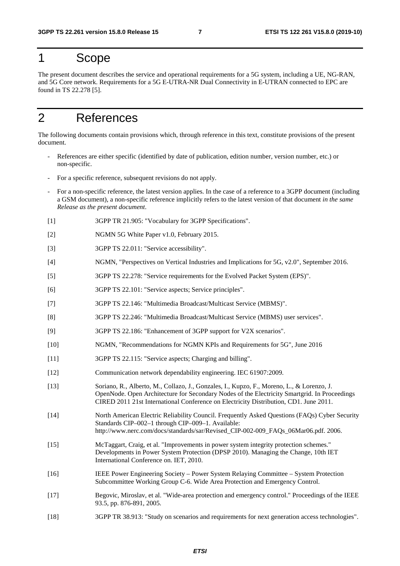# 1 Scope

The present document describes the service and operational requirements for a 5G system, including a UE, NG-RAN, and 5G Core network. Requirements for a 5G E-UTRA-NR Dual Connectivity in E-UTRAN connected to EPC are found in TS 22.278 [5].

# 2 References

The following documents contain provisions which, through reference in this text, constitute provisions of the present document.

- References are either specific (identified by date of publication, edition number, version number, etc.) or non-specific.
- For a specific reference, subsequent revisions do not apply.
- For a non-specific reference, the latest version applies. In the case of a reference to a 3GPP document (including a GSM document), a non-specific reference implicitly refers to the latest version of that document *in the same Release as the present document*.
- [1] 3GPP TR 21.905: "Vocabulary for 3GPP Specifications".
- [2] NGMN 5G White Paper v1.0, February 2015.
- [3] 3GPP TS 22.011: "Service accessibility".
- [4] NGMN, "Perspectives on Vertical Industries and Implications for 5G, v2.0", September 2016.
- [5] 3GPP TS 22.278: "Service requirements for the Evolved Packet System (EPS)".
- [6] 3GPP TS 22.101: "Service aspects; Service principles".
- [7] 3GPP TS 22.146: "Multimedia Broadcast/Multicast Service (MBMS)".
- [8] 3GPP TS 22.246: "Multimedia Broadcast/Multicast Service (MBMS) user services".
- [9] 3GPP TS 22.186: "Enhancement of 3GPP support for V2X scenarios".
- [10] NGMN, "Recommendations for NGMN KPIs and Requirements for 5G", June 2016
- [11] 3GPP TS 22.115: "Service aspects; Charging and billing".
- [12] Communication network dependability engineering. IEC 61907:2009.
- [13] Soriano, R., Alberto, M., Collazo, J., Gonzales, I., Kupzo, F., Moreno, L., & Lorenzo, J. OpenNode. Open Architecture for Secondary Nodes of the Electricity Smartgrid. In Proceedings CIRED 2011 21st International Conference on Electricity Distribution, CD1. June 2011.
- [14] North American Electric Reliability Council. Frequently Asked Questions (FAQs) Cyber Security Standards CIP–002–1 through CIP–009–1. Available: http://www.nerc.com/docs/standards/sar/Revised\_CIP-002-009\_FAQs\_06Mar06.pdf. 2006.
- [15] McTaggart, Craig, et al. "Improvements in power system integrity protection schemes." Developments in Power System Protection (DPSP 2010). Managing the Change, 10th IET International Conference on. IET, 2010.
- [16] IEEE Power Engineering Society Power System Relaying Committee System Protection Subcommittee Working Group C-6. Wide Area Protection and Emergency Control.
- [17] Begovic, Miroslav, et al. "Wide-area protection and emergency control." Proceedings of the IEEE 93.5, pp. 876-891, 2005.
- [18] 3GPP TR 38.913: "Study on scenarios and requirements for next generation access technologies".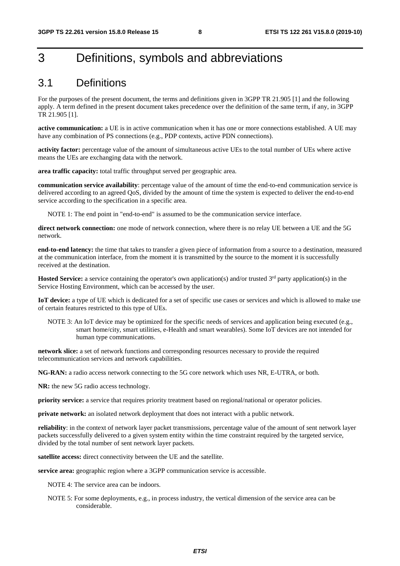# 3 Definitions, symbols and abbreviations

### 3.1 Definitions

For the purposes of the present document, the terms and definitions given in 3GPP TR 21.905 [1] and the following apply. A term defined in the present document takes precedence over the definition of the same term, if any, in 3GPP TR 21.905 [1].

**active communication:** a UE is in active communication when it has one or more connections established. A UE may have any combination of PS connections (e.g., PDP contexts, active PDN connections).

**activity factor:** percentage value of the amount of simultaneous active UEs to the total number of UEs where active means the UEs are exchanging data with the network.

**area traffic capacity:** total traffic throughput served per geographic area.

**communication service availability**: percentage value of the amount of time the end-to-end communication service is delivered according to an agreed QoS, divided by the amount of time the system is expected to deliver the end-to-end service according to the specification in a specific area.

NOTE 1: The end point in "end-to-end" is assumed to be the communication service interface.

direct network connection: one mode of network connection, where there is no relay UE between a UE and the 5G network.

**end-to-end latency:** the time that takes to transfer a given piece of information from a source to a destination, measured at the communication interface, from the moment it is transmitted by the source to the moment it is successfully received at the destination.

**Hosted Service:** a service containing the operator's own application(s) and/or trusted 3<sup>rd</sup> party application(s) in the Service Hosting Environment, which can be accessed by the user.

**IoT device:** a type of UE which is dedicated for a set of specific use cases or services and which is allowed to make use of certain features restricted to this type of UEs.

NOTE 3: An IoT device may be optimized for the specific needs of services and application being executed (e.g., smart home/city, smart utilities, e-Health and smart wearables). Some IoT devices are not intended for human type communications.

**network slice:** a set of network functions and corresponding resources necessary to provide the required telecommunication services and network capabilities.

**NG-RAN:** a radio access network connecting to the 5G core network which uses NR, E-UTRA, or both.

**NR:** the new 5G radio access technology.

**priority service:** a service that requires priority treatment based on regional/national or operator policies.

**private network:** an isolated network deployment that does not interact with a public network.

**reliability**: in the context of network layer packet transmissions, percentage value of the amount of sent network layer packets successfully delivered to a given system entity within the time constraint required by the targeted service, divided by the total number of sent network layer packets.

**satellite access:** direct connectivity between the UE and the satellite.

**service area:** geographic region where a 3GPP communication service is accessible.

NOTE 4: The service area can be indoors.

NOTE 5: For some deployments, e.g., in process industry, the vertical dimension of the service area can be considerable.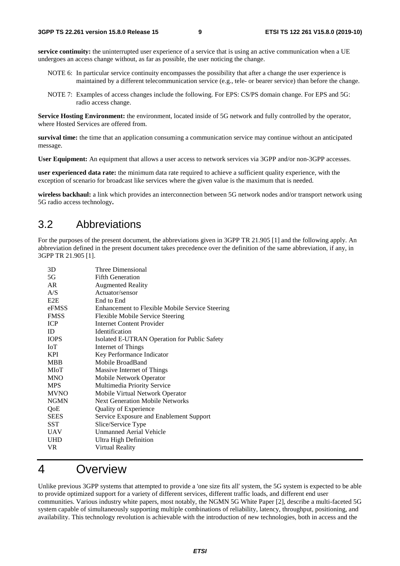**service continuity:** the uninterrupted user experience of a service that is using an active communication when a UE undergoes an access change without, as far as possible, the user noticing the change.

- NOTE 6: In particular service continuity encompasses the possibility that after a change the user experience is maintained by a different telecommunication service (e.g., tele- or bearer service) than before the change.
- NOTE 7: Examples of access changes include the following. For EPS: CS/PS domain change. For EPS and 5G: radio access change.

**Service Hosting Environment:** the environment, located inside of 5G network and fully controlled by the operator, where Hosted Services are offered from.

**survival time:** the time that an application consuming a communication service may continue without an anticipated message.

**User Equipment:** An equipment that allows a user access to network services via 3GPP and/or non-3GPP accesses.

**user experienced data rate:** the minimum data rate required to achieve a sufficient quality experience, with the exception of scenario for broadcast like services where the given value is the maximum that is needed.

**wireless backhaul:** a link which provides an interconnection between 5G network nodes and/or transport network using 5G radio access technology**.** 

# 3.2 Abbreviations

For the purposes of the present document, the abbreviations given in 3GPP TR 21.905 [1] and the following apply. An abbreviation defined in the present document takes precedence over the definition of the same abbreviation, if any, in 3GPP TR 21.905 [1].

| 3D          | Three Dimensional                               |
|-------------|-------------------------------------------------|
| 5G          | <b>Fifth Generation</b>                         |
| AR          | <b>Augmented Reality</b>                        |
| A/S         | Actuator/sensor                                 |
| E2E         | End to End                                      |
| eFMSS       | Enhancement to Flexible Mobile Service Steering |
| <b>FMSS</b> | Flexible Mobile Service Steering                |
| <b>ICP</b>  | <b>Internet Content Provider</b>                |
| ID          | <b>Identification</b>                           |
| <b>IOPS</b> | Isolated E-UTRAN Operation for Public Safety    |
| <b>ToT</b>  | <b>Internet of Things</b>                       |
| <b>KPI</b>  | Key Performance Indicator                       |
| <b>MBB</b>  | Mobile BroadBand                                |
| MIoT        | Massive Internet of Things                      |
| <b>MNO</b>  | Mobile Network Operator                         |
| <b>MPS</b>  | Multimedia Priority Service                     |
| <b>MVNO</b> | Mobile Virtual Network Operator                 |
| <b>NGMN</b> | <b>Next Generation Mobile Networks</b>          |
| QoE         | <b>Quality of Experience</b>                    |
| <b>SEES</b> | Service Exposure and Enablement Support         |
| SST         | Slice/Service Type                              |
| <b>UAV</b>  | <b>Unmanned Aerial Vehicle</b>                  |
| UHD         | Ultra High Definition                           |
| VR.         | Virtual Reality                                 |
|             |                                                 |

# 4 Overview

Unlike previous 3GPP systems that attempted to provide a 'one size fits all' system, the 5G system is expected to be able to provide optimized support for a variety of different services, different traffic loads, and different end user communities. Various industry white papers, most notably, the NGMN 5G White Paper [2], describe a multi-faceted 5G system capable of simultaneously supporting multiple combinations of reliability, latency, throughput, positioning, and availability. This technology revolution is achievable with the introduction of new technologies, both in access and the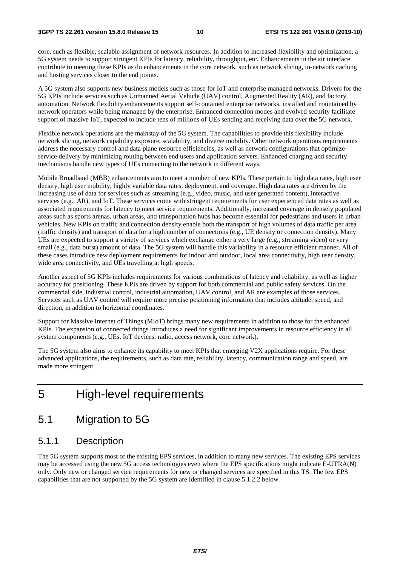core, such as flexible, scalable assignment of network resources. In addition to increased flexibility and optimization, a 5G system needs to support stringent KPIs for latency, reliability, throughput, etc. Enhancements in the air interface contribute to meeting these KPIs as do enhancements in the core network, such as network slicing, in-network caching and hosting services closer to the end points.

A 5G system also supports new business models such as those for IoT and enterprise managed networks. Drivers for the 5G KPIs include services such as Unmanned Aerial Vehicle (UAV) control, Augmented Reality (AR), and factory automation. Network flexibility enhancements support self-contained enterprise networks, installed and maintained by network operators while being managed by the enterprise. Enhanced connection modes and evolved security facilitate support of massive IoT, expected to include tens of millions of UEs sending and receiving data over the 5G network.

Flexible network operations are the mainstay of the 5G system. The capabilities to provide this flexibility include network slicing, network capability exposure, scalability, and diverse mobility. Other network operations requirements address the necessary control and data plane resource efficiencies, as well as network configurations that optimize service delivery by minimizing routing between end users and application servers. Enhanced charging and security mechanisms handle new types of UEs connecting to the network in different ways.

Mobile Broadband (MBB) enhancements aim to meet a number of new KPIs. These pertain to high data rates, high user density, high user mobility, highly variable data rates, deployment, and coverage. High data rates are driven by the increasing use of data for services such as streaming (e.g., video, music, and user generated content), interactive services (e.g., AR), and IoT. These services come with stringent requirements for user experienced data rates as well as associated requirements for latency to meet service requirements. Additionally, increased coverage in densely populated areas such as sports arenas, urban areas, and transportation hubs has become essential for pedestrians and users in urban vehicles. New KPIs on traffic and connection density enable both the transport of high volumes of data traffic per area (traffic density) and transport of data for a high number of connections (e.g., UE density or connection density). Many UEs are expected to support a variety of services which exchange either a very large (e.g., streaming video) or very small (e.g., data burst) amount of data. The 5G system will handle this variability in a resource efficient manner. All of these cases introduce new deployment requirements for indoor and outdoor, local area connectivity, high user density, wide area connectivity, and UEs travelling at high speeds.

Another aspect of 5G KPIs includes requirements for various combinations of latency and reliability, as well as higher accuracy for positioning. These KPIs are driven by support for both commercial and public safety services. On the commercial side, industrial control, industrial automation, UAV control, and AR are examples of those services. Services such as UAV control will require more precise positioning information that includes altitude, speed, and direction, in addition to horizontal coordinates.

Support for Massive Internet of Things (MIoT) brings many new requirements in addition to those for the enhanced KPIs. The expansion of connected things introduces a need for significant improvements in resource efficiency in all system components (e.g., UEs, IoT devices, radio, access network, core network).

The 5G system also aims to enhance its capability to meet KPIs that emerging V2X applications require. For these advanced applications, the requirements, such as data rate, reliability, latency, communication range and speed, are made more stringent.

# 5 High-level requirements

## 5.1 Migration to 5G

### 5.1.1 Description

The 5G system supports most of the existing EPS services, in addition to many new services. The existing EPS services may be accessed using the new 5G access technologies even where the EPS specifications might indicate E-UTRA(N) only. Only new or changed service requirements for new or changed services are specified in this TS. The few EPS capabilities that are not supported by the 5G system are identified in clause 5.1.2.2 below.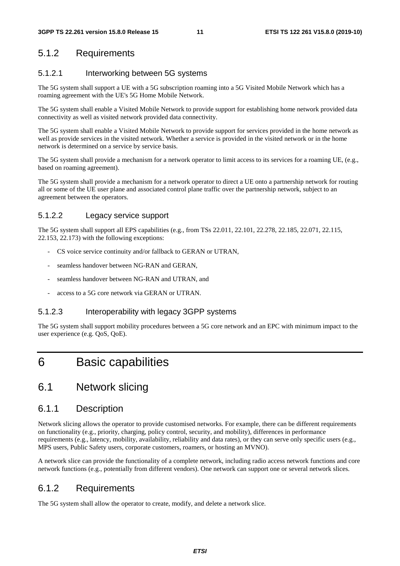### 5.1.2 Requirements

#### 5.1.2.1 Interworking between 5G systems

The 5G system shall support a UE with a 5G subscription roaming into a 5G Visited Mobile Network which has a roaming agreement with the UE's 5G Home Mobile Network.

The 5G system shall enable a Visited Mobile Network to provide support for establishing home network provided data connectivity as well as visited network provided data connectivity.

The 5G system shall enable a Visited Mobile Network to provide support for services provided in the home network as well as provide services in the visited network. Whether a service is provided in the visited network or in the home network is determined on a service by service basis.

The 5G system shall provide a mechanism for a network operator to limit access to its services for a roaming UE, (e.g., based on roaming agreement).

The 5G system shall provide a mechanism for a network operator to direct a UE onto a partnership network for routing all or some of the UE user plane and associated control plane traffic over the partnership network, subject to an agreement between the operators.

#### 5.1.2.2 Legacy service support

The 5G system shall support all EPS capabilities (e.g., from TSs 22.011, 22.101, 22.278, 22.185, 22.071, 22.115, 22.153, 22.173) with the following exceptions:

- CS voice service continuity and/or fallback to GERAN or UTRAN,
- seamless handover between NG-RAN and GERAN,
- seamless handover between NG-RAN and UTRAN, and
- access to a 5G core network via GERAN or UTRAN.

#### 5.1.2.3 Interoperability with legacy 3GPP systems

The 5G system shall support mobility procedures between a 5G core network and an EPC with minimum impact to the user experience (e.g. QoS, QoE).

# 6 Basic capabilities

### 6.1 Network slicing

#### 6.1.1 Description

Network slicing allows the operator to provide customised networks. For example, there can be different requirements on functionality (e.g., priority, charging, policy control, security, and mobility), differences in performance requirements (e.g., latency, mobility, availability, reliability and data rates), or they can serve only specific users (e.g., MPS users, Public Safety users, corporate customers, roamers, or hosting an MVNO).

A network slice can provide the functionality of a complete network, including radio access network functions and core network functions (e.g., potentially from different vendors). One network can support one or several network slices.

#### 6.1.2 Requirements

The 5G system shall allow the operator to create, modify, and delete a network slice.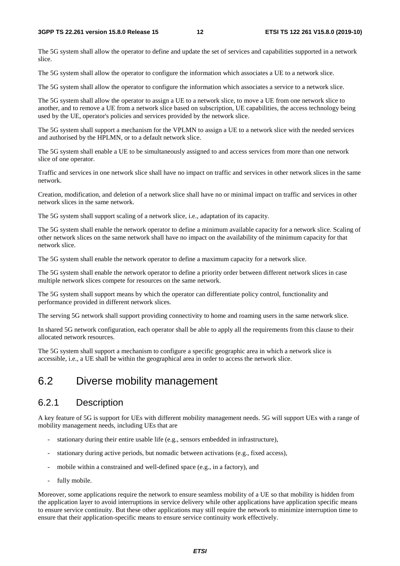The 5G system shall allow the operator to define and update the set of services and capabilities supported in a network slice.

The 5G system shall allow the operator to configure the information which associates a UE to a network slice.

The 5G system shall allow the operator to configure the information which associates a service to a network slice.

The 5G system shall allow the operator to assign a UE to a network slice, to move a UE from one network slice to another, and to remove a UE from a network slice based on subscription, UE capabilities, the access technology being used by the UE, operator's policies and services provided by the network slice.

The 5G system shall support a mechanism for the VPLMN to assign a UE to a network slice with the needed services and authorised by the HPLMN, or to a default network slice.

The 5G system shall enable a UE to be simultaneously assigned to and access services from more than one network slice of one operator.

Traffic and services in one network slice shall have no impact on traffic and services in other network slices in the same network.

Creation, modification, and deletion of a network slice shall have no or minimal impact on traffic and services in other network slices in the same network.

The 5G system shall support scaling of a network slice, i.e., adaptation of its capacity.

The 5G system shall enable the network operator to define a minimum available capacity for a network slice. Scaling of other network slices on the same network shall have no impact on the availability of the minimum capacity for that network slice.

The 5G system shall enable the network operator to define a maximum capacity for a network slice.

The 5G system shall enable the network operator to define a priority order between different network slices in case multiple network slices compete for resources on the same network.

The 5G system shall support means by which the operator can differentiate policy control, functionality and performance provided in different network slices.

The serving 5G network shall support providing connectivity to home and roaming users in the same network slice.

In shared 5G network configuration, each operator shall be able to apply all the requirements from this clause to their allocated network resources.

The 5G system shall support a mechanism to configure a specific geographic area in which a network slice is accessible, i.e., a UE shall be within the geographical area in order to access the network slice.

### 6.2 Diverse mobility management

#### 6.2.1 Description

A key feature of 5G is support for UEs with different mobility management needs. 5G will support UEs with a range of mobility management needs, including UEs that are

- stationary during their entire usable life (e.g., sensors embedded in infrastructure),
- stationary during active periods, but nomadic between activations (e.g., fixed access),
- mobile within a constrained and well-defined space (e.g., in a factory), and
- fully mobile.

Moreover, some applications require the network to ensure seamless mobility of a UE so that mobility is hidden from the application layer to avoid interruptions in service delivery while other applications have application specific means to ensure service continuity. But these other applications may still require the network to minimize interruption time to ensure that their application-specific means to ensure service continuity work effectively.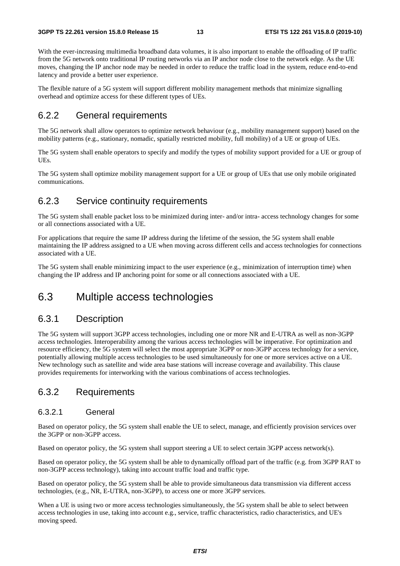With the ever-increasing multimedia broadband data volumes, it is also important to enable the offloading of IP traffic from the 5G network onto traditional IP routing networks via an IP anchor node close to the network edge. As the UE moves, changing the IP anchor node may be needed in order to reduce the traffic load in the system, reduce end-to-end latency and provide a better user experience.

The flexible nature of a 5G system will support different mobility management methods that minimize signalling overhead and optimize access for these different types of UEs.

#### 6.2.2 General requirements

The 5G network shall allow operators to optimize network behaviour (e.g., mobility management support) based on the mobility patterns (e.g., stationary, nomadic, spatially restricted mobility, full mobility) of a UE or group of UEs.

The 5G system shall enable operators to specify and modify the types of mobility support provided for a UE or group of UEs.

The 5G system shall optimize mobility management support for a UE or group of UEs that use only mobile originated communications.

#### 6.2.3 Service continuity requirements

The 5G system shall enable packet loss to be minimized during inter- and/or intra- access technology changes for some or all connections associated with a UE.

For applications that require the same IP address during the lifetime of the session, the 5G system shall enable maintaining the IP address assigned to a UE when moving across different cells and access technologies for connections associated with a UE.

The 5G system shall enable minimizing impact to the user experience (e.g., minimization of interruption time) when changing the IP address and IP anchoring point for some or all connections associated with a UE.

### 6.3 Multiple access technologies

#### 6.3.1 Description

The 5G system will support 3GPP access technologies, including one or more NR and E-UTRA as well as non-3GPP access technologies. Interoperability among the various access technologies will be imperative. For optimization and resource efficiency, the 5G system will select the most appropriate 3GPP or non-3GPP access technology for a service, potentially allowing multiple access technologies to be used simultaneously for one or more services active on a UE. New technology such as satellite and wide area base stations will increase coverage and availability. This clause provides requirements for interworking with the various combinations of access technologies.

#### 6.3.2 Requirements

#### 6.3.2.1 General

Based on operator policy, the 5G system shall enable the UE to select, manage, and efficiently provision services over the 3GPP or non-3GPP access.

Based on operator policy, the 5G system shall support steering a UE to select certain 3GPP access network(s).

Based on operator policy, the 5G system shall be able to dynamically offload part of the traffic (e.g. from 3GPP RAT to non-3GPP access technology), taking into account traffic load and traffic type.

Based on operator policy, the 5G system shall be able to provide simultaneous data transmission via different access technologies, (e.g., NR, E-UTRA, non-3GPP), to access one or more 3GPP services.

When a UE is using two or more access technologies simultaneously, the 5G system shall be able to select between access technologies in use, taking into account e.g., service, traffic characteristics, radio characteristics, and UE's moving speed.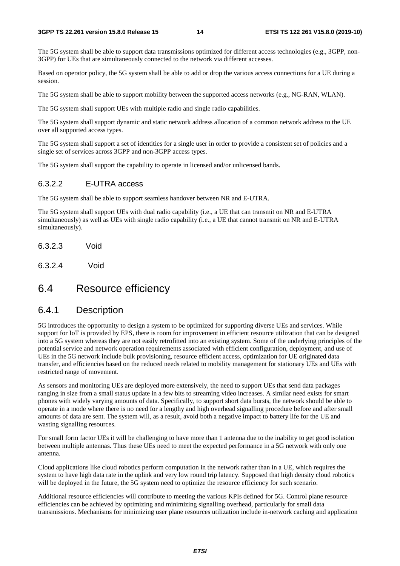The 5G system shall be able to support data transmissions optimized for different access technologies (e.g., 3GPP, non-3GPP) for UEs that are simultaneously connected to the network via different accesses.

Based on operator policy, the 5G system shall be able to add or drop the various access connections for a UE during a session.

The 5G system shall be able to support mobility between the supported access networks (e.g., NG-RAN, WLAN).

The 5G system shall support UEs with multiple radio and single radio capabilities.

The 5G system shall support dynamic and static network address allocation of a common network address to the UE over all supported access types.

The 5G system shall support a set of identities for a single user in order to provide a consistent set of policies and a single set of services across 3GPP and non-3GPP access types.

The 5G system shall support the capability to operate in licensed and/or unlicensed bands.

#### 6.3.2.2 E-UTRA access

The 5G system shall be able to support seamless handover between NR and E-UTRA.

The 5G system shall support UEs with dual radio capability (i.e., a UE that can transmit on NR and E-UTRA simultaneously) as well as UEs with single radio capability (i.e., a UE that cannot transmit on NR and E-UTRA simultaneously).

- 6.3.2.3 Void
- 6.3.2.4 Void

### 6.4 Resource efficiency

#### 6.4.1 Description

5G introduces the opportunity to design a system to be optimized for supporting diverse UEs and services. While support for IoT is provided by EPS, there is room for improvement in efficient resource utilization that can be designed into a 5G system whereas they are not easily retrofitted into an existing system. Some of the underlying principles of the potential service and network operation requirements associated with efficient configuration, deployment, and use of UEs in the 5G network include bulk provisioning, resource efficient access, optimization for UE originated data transfer, and efficiencies based on the reduced needs related to mobility management for stationary UEs and UEs with restricted range of movement.

As sensors and monitoring UEs are deployed more extensively, the need to support UEs that send data packages ranging in size from a small status update in a few bits to streaming video increases. A similar need exists for smart phones with widely varying amounts of data. Specifically, to support short data bursts, the network should be able to operate in a mode where there is no need for a lengthy and high overhead signalling procedure before and after small amounts of data are sent. The system will, as a result, avoid both a negative impact to battery life for the UE and wasting signalling resources.

For small form factor UEs it will be challenging to have more than 1 antenna due to the inability to get good isolation between multiple antennas. Thus these UEs need to meet the expected performance in a 5G network with only one antenna.

Cloud applications like cloud robotics perform computation in the network rather than in a UE, which requires the system to have high data rate in the uplink and very low round trip latency. Supposed that high density cloud robotics will be deployed in the future, the 5G system need to optimize the resource efficiency for such scenario.

Additional resource efficiencies will contribute to meeting the various KPIs defined for 5G. Control plane resource efficiencies can be achieved by optimizing and minimizing signalling overhead, particularly for small data transmissions. Mechanisms for minimizing user plane resources utilization include in-network caching and application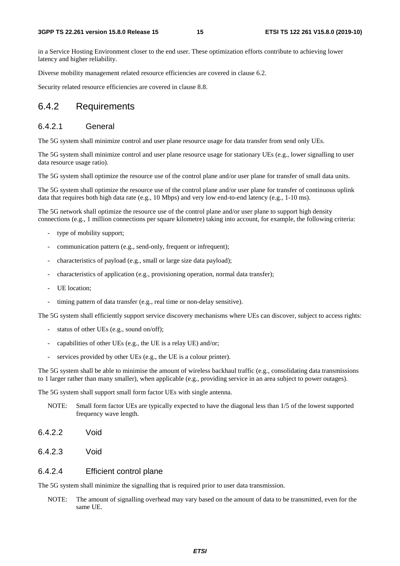in a Service Hosting Environment closer to the end user. These optimization efforts contribute to achieving lower latency and higher reliability.

Diverse mobility management related resource efficiencies are covered in clause 6.2.

Security related resource efficiencies are covered in clause 8.8.

#### 6.4.2 Requirements

#### 6.4.2.1 General

The 5G system shall minimize control and user plane resource usage for data transfer from send only UEs.

The 5G system shall minimize control and user plane resource usage for stationary UEs (e.g., lower signalling to user data resource usage ratio).

The 5G system shall optimize the resource use of the control plane and/or user plane for transfer of small data units.

The 5G system shall optimize the resource use of the control plane and/or user plane for transfer of continuous uplink data that requires both high data rate (e.g., 10 Mbps) and very low end-to-end latency (e.g., 1-10 ms).

The 5G network shall optimize the resource use of the control plane and/or user plane to support high density connections (e.g., 1 million connections per square kilometre) taking into account, for example, the following criteria:

- type of mobility support;
- communication pattern (e.g., send-only, frequent or infrequent);
- characteristics of payload (e.g., small or large size data payload);
- characteristics of application (e.g., provisioning operation, normal data transfer);
- UE location;
- timing pattern of data transfer (e.g., real time or non-delay sensitive).

The 5G system shall efficiently support service discovery mechanisms where UEs can discover, subject to access rights:

- status of other UEs (e.g., sound on/off);
- capabilities of other UEs (e.g., the UE is a relay UE) and/or;
- services provided by other UEs (e.g., the UE is a colour printer).

The 5G system shall be able to minimise the amount of wireless backhaul traffic (e.g., consolidating data transmissions to 1 larger rather than many smaller), when applicable (e.g., providing service in an area subject to power outages).

The 5G system shall support small form factor UEs with single antenna.

- NOTE: Small form factor UEs are typically expected to have the diagonal less than 1/5 of the lowest supported frequency wave length.
- 6.4.2.2 Void
- 6.4.2.3 Void

#### 6.4.2.4 Efficient control plane

The 5G system shall minimize the signalling that is required prior to user data transmission.

NOTE: The amount of signalling overhead may vary based on the amount of data to be transmitted, even for the same UE.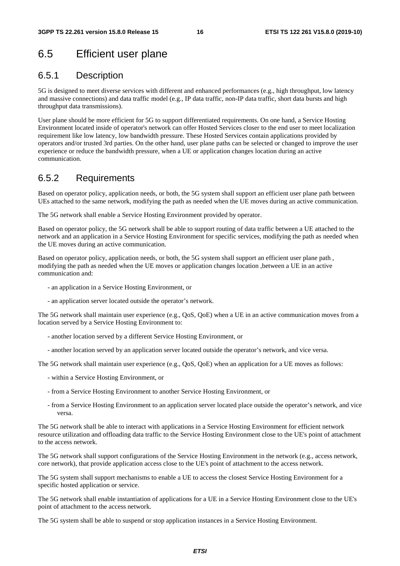# 6.5 Efficient user plane

#### 6.5.1 Description

5G is designed to meet diverse services with different and enhanced performances (e.g., high throughput, low latency and massive connections) and data traffic model (e.g., IP data traffic, non-IP data traffic, short data bursts and high throughput data transmissions).

User plane should be more efficient for 5G to support differentiated requirements. On one hand, a Service Hosting Environment located inside of operator's network can offer Hosted Services closer to the end user to meet localization requirement like low latency, low bandwidth pressure. These Hosted Services contain applications provided by operators and/or trusted 3rd parties. On the other hand, user plane paths can be selected or changed to improve the user experience or reduce the bandwidth pressure, when a UE or application changes location during an active communication.

#### 6.5.2 Requirements

Based on operator policy, application needs, or both, the 5G system shall support an efficient user plane path between UEs attached to the same network, modifying the path as needed when the UE moves during an active communication.

The 5G network shall enable a Service Hosting Environment provided by operator.

Based on operator policy, the 5G network shall be able to support routing of data traffic between a UE attached to the network and an application in a Service Hosting Environment for specific services, modifying the path as needed when the UE moves during an active communication.

Based on operator policy, application needs, or both, the 5G system shall support an efficient user plane path, modifying the path as needed when the UE moves or application changes location ,between a UE in an active communication and:

- an application in a Service Hosting Environment, or
- an application server located outside the operator's network.

The 5G network shall maintain user experience (e.g., QoS, QoE) when a UE in an active communication moves from a location served by a Service Hosting Environment to:

- another location served by a different Service Hosting Environment, or
- another location served by an application server located outside the operator's network, and vice versa.

The 5G network shall maintain user experience (e.g., QoS, QoE) when an application for a UE moves as follows:

- within a Service Hosting Environment, or
- from a Service Hosting Environment to another Service Hosting Environment, or
- from a Service Hosting Environment to an application server located place outside the operator's network, and vice versa.

The 5G network shall be able to interact with applications in a Service Hosting Environment for efficient network resource utilization and offloading data traffic to the Service Hosting Environment close to the UE's point of attachment to the access network.

The 5G network shall support configurations of the Service Hosting Environment in the network (e.g., access network, core network), that provide application access close to the UE's point of attachment to the access network.

The 5G system shall support mechanisms to enable a UE to access the closest Service Hosting Environment for a specific hosted application or service.

The 5G network shall enable instantiation of applications for a UE in a Service Hosting Environment close to the UE's point of attachment to the access network.

The 5G system shall be able to suspend or stop application instances in a Service Hosting Environment.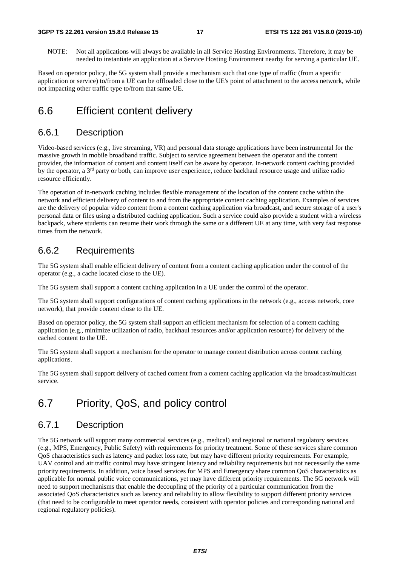NOTE: Not all applications will always be available in all Service Hosting Environments. Therefore, it may be needed to instantiate an application at a Service Hosting Environment nearby for serving a particular UE.

Based on operator policy, the 5G system shall provide a mechanism such that one type of traffic (from a specific application or service) to/from a UE can be offloaded close to the UE's point of attachment to the access network, while not impacting other traffic type to/from that same UE.

### 6.6 Efficient content delivery

#### 6.6.1 Description

Video-based services (e.g., live streaming, VR) and personal data storage applications have been instrumental for the massive growth in mobile broadband traffic. Subject to service agreement between the operator and the content provider, the information of content and content itself can be aware by operator. In-network content caching provided by the operator, a 3rd party or both, can improve user experience, reduce backhaul resource usage and utilize radio resource efficiently.

The operation of in-network caching includes flexible management of the location of the content cache within the network and efficient delivery of content to and from the appropriate content caching application. Examples of services are the delivery of popular video content from a content caching application via broadcast, and secure storage of a user's personal data or files using a distributed caching application. Such a service could also provide a student with a wireless backpack, where students can resume their work through the same or a different UE at any time, with very fast response times from the network.

#### 6.6.2 Requirements

The 5G system shall enable efficient delivery of content from a content caching application under the control of the operator (e.g., a cache located close to the UE).

The 5G system shall support a content caching application in a UE under the control of the operator.

The 5G system shall support configurations of content caching applications in the network (e.g., access network, core network), that provide content close to the UE.

Based on operator policy, the 5G system shall support an efficient mechanism for selection of a content caching application (e.g., minimize utilization of radio, backhaul resources and/or application resource) for delivery of the cached content to the UE.

The 5G system shall support a mechanism for the operator to manage content distribution across content caching applications.

The 5G system shall support delivery of cached content from a content caching application via the broadcast/multicast service.

# 6.7 Priority, QoS, and policy control

### 6.7.1 Description

The 5G network will support many commercial services (e.g., medical) and regional or national regulatory services (e.g., MPS, Emergency, Public Safety) with requirements for priority treatment. Some of these services share common QoS characteristics such as latency and packet loss rate, but may have different priority requirements. For example, UAV control and air traffic control may have stringent latency and reliability requirements but not necessarily the same priority requirements. In addition, voice based services for MPS and Emergency share common QoS characteristics as applicable for normal public voice communications, yet may have different priority requirements. The 5G network will need to support mechanisms that enable the decoupling of the priority of a particular communication from the associated QoS characteristics such as latency and reliability to allow flexibility to support different priority services (that need to be configurable to meet operator needs, consistent with operator policies and corresponding national and regional regulatory policies).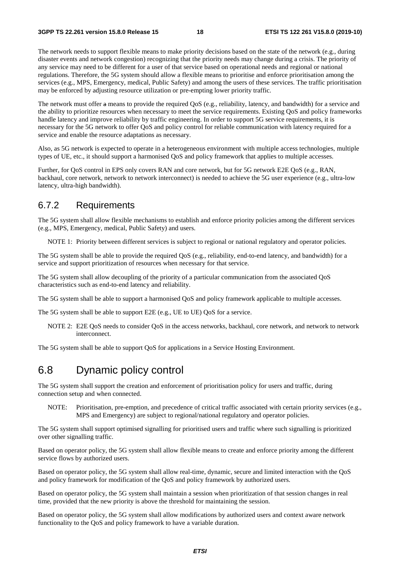The network needs to support flexible means to make priority decisions based on the state of the network (e.g., during disaster events and network congestion) recognizing that the priority needs may change during a crisis. The priority of any service may need to be different for a user of that service based on operational needs and regional or national regulations. Therefore, the 5G system should allow a flexible means to prioritise and enforce prioritisation among the services (e.g., MPS, Emergency, medical, Public Safety) and among the users of these services. The traffic prioritisation may be enforced by adjusting resource utilization or pre-empting lower priority traffic.

The network must offer a means to provide the required QoS (e.g., reliability, latency, and bandwidth) for a service and the ability to prioritize resources when necessary to meet the service requirements. Existing QoS and policy frameworks handle latency and improve reliability by traffic engineering. In order to support 5G service requirements, it is necessary for the 5G network to offer QoS and policy control for reliable communication with latency required for a service and enable the resource adaptations as necessary.

Also, as 5G network is expected to operate in a heterogeneous environment with multiple access technologies, multiple types of UE, etc., it should support a harmonised QoS and policy framework that applies to multiple accesses.

Further, for QoS control in EPS only covers RAN and core network, but for 5G network E2E QoS (e.g., RAN, backhaul, core network, network to network interconnect) is needed to achieve the 5G user experience (e.g., ultra-low latency, ultra-high bandwidth).

#### 6.7.2 Requirements

The 5G system shall allow flexible mechanisms to establish and enforce priority policies among the different services (e.g., MPS, Emergency, medical, Public Safety) and users.

NOTE 1: Priority between different services is subject to regional or national regulatory and operator policies.

The 5G system shall be able to provide the required QoS (e.g., reliability, end-to-end latency, and bandwidth) for a service and support prioritization of resources when necessary for that service.

The 5G system shall allow decoupling of the priority of a particular communication from the associated QoS characteristics such as end-to-end latency and reliability.

The 5G system shall be able to support a harmonised QoS and policy framework applicable to multiple accesses.

The 5G system shall be able to support E2E (e.g., UE to UE) QoS for a service.

NOTE 2: E2E QoS needs to consider QoS in the access networks, backhaul, core network, and network to network interconnect.

The 5G system shall be able to support QoS for applications in a Service Hosting Environment.

### 6.8 Dynamic policy control

The 5G system shall support the creation and enforcement of prioritisation policy for users and traffic, during connection setup and when connected.

NOTE: Prioritisation, pre-emption, and precedence of critical traffic associated with certain priority services (e.g., MPS and Emergency) are subject to regional/national regulatory and operator policies.

The 5G system shall support optimised signalling for prioritised users and traffic where such signalling is prioritized over other signalling traffic.

Based on operator policy, the 5G system shall allow flexible means to create and enforce priority among the different service flows by authorized users.

Based on operator policy, the 5G system shall allow real-time, dynamic, secure and limited interaction with the QoS and policy framework for modification of the QoS and policy framework by authorized users.

Based on operator policy, the 5G system shall maintain a session when prioritization of that session changes in real time, provided that the new priority is above the threshold for maintaining the session.

Based on operator policy, the 5G system shall allow modifications by authorized users and context aware network functionality to the QoS and policy framework to have a variable duration.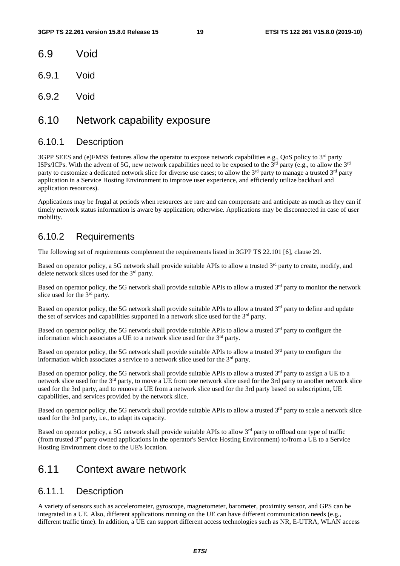- 6.9 Void
- 6.9.1 Void
- 6.9.2 Void

### 6.10 Network capability exposure

#### 6.10.1 Description

3GPP SEES and (e)FMSS features allow the operator to expose network capabilities e.g., QoS policy to 3<sup>rd</sup> party ISPs/ICPs. With the advent of 5G, new network capabilities need to be exposed to the  $3^{rd}$  party (e.g., to allow the  $3^{rd}$ party to customize a dedicated network slice for diverse use cases; to allow the  $3<sup>rd</sup>$  party to manage a trusted  $3<sup>rd</sup>$  party application in a Service Hosting Environment to improve user experience, and efficiently utilize backhaul and application resources).

Applications may be frugal at periods when resources are rare and can compensate and anticipate as much as they can if timely network status information is aware by application; otherwise. Applications may be disconnected in case of user mobility.

#### 6.10.2 Requirements

The following set of requirements complement the requirements listed in 3GPP TS 22.101 [6], clause 29.

Based on operator policy, a 5G network shall provide suitable APIs to allow a trusted  $3<sup>rd</sup>$  party to create, modify, and delete network slices used for the 3<sup>rd</sup> party.

Based on operator policy, the 5G network shall provide suitable APIs to allow a trusted 3<sup>rd</sup> party to monitor the network slice used for the 3<sup>rd</sup> party.

Based on operator policy, the 5G network shall provide suitable APIs to allow a trusted 3<sup>rd</sup> party to define and update the set of services and capabilities supported in a network slice used for the  $3<sup>rd</sup>$  party.

Based on operator policy, the 5G network shall provide suitable APIs to allow a trusted  $3<sup>rd</sup>$  party to configure the information which associates a UE to a network slice used for the 3<sup>rd</sup> party.

Based on operator policy, the 5G network shall provide suitable APIs to allow a trusted  $3<sup>rd</sup>$  party to configure the information which associates a service to a network slice used for the  $3<sup>rd</sup>$  party.

Based on operator policy, the 5G network shall provide suitable APIs to allow a trusted  $3<sup>rd</sup>$  party to assign a UE to a network slice used for the 3rd party, to move a UE from one network slice used for the 3rd party to another network slice used for the 3rd party, and to remove a UE from a network slice used for the 3rd party based on subscription, UE capabilities, and services provided by the network slice.

Based on operator policy, the 5G network shall provide suitable APIs to allow a trusted  $3<sup>rd</sup>$  party to scale a network slice used for the 3rd party, i.e., to adapt its capacity.

Based on operator policy, a 5G network shall provide suitable APIs to allow 3rd party to offload one type of traffic (from trusted 3rd party owned applications in the operator's Service Hosting Environment) to/from a UE to a Service Hosting Environment close to the UE's location.

### 6.11 Context aware network

#### 6.11.1 Description

A variety of sensors such as accelerometer, gyroscope, magnetometer, barometer, proximity sensor, and GPS can be integrated in a UE. Also, different applications running on the UE can have different communication needs (e.g., different traffic time). In addition, a UE can support different access technologies such as NR, E-UTRA, WLAN access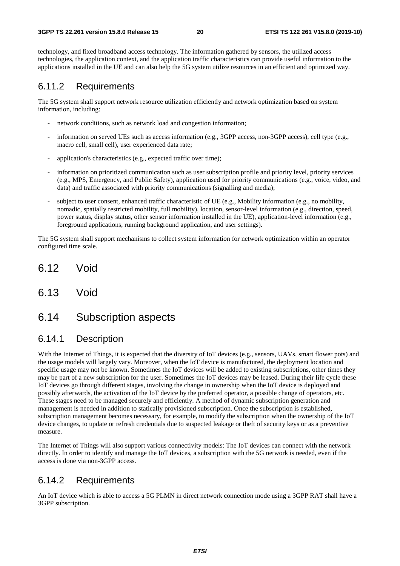technology, and fixed broadband access technology. The information gathered by sensors, the utilized access technologies, the application context, and the application traffic characteristics can provide useful information to the applications installed in the UE and can also help the 5G system utilize resources in an efficient and optimized way.

#### 6.11.2 Requirements

The 5G system shall support network resource utilization efficiently and network optimization based on system information, including:

- network conditions, such as network load and congestion information;
- information on served UEs such as access information (e.g., 3GPP access, non-3GPP access), cell type (e.g., macro cell, small cell), user experienced data rate;
- application's characteristics (e.g., expected traffic over time);
- information on prioritized communication such as user subscription profile and priority level, priority services (e.g., MPS, Emergency, and Public Safety), application used for priority communications (e.g., voice, video, and data) and traffic associated with priority communications (signalling and media);
- subject to user consent, enhanced traffic characteristic of UE (e.g., Mobility information (e.g., no mobility, nomadic, spatially restricted mobility, full mobility), location, sensor-level information (e.g., direction, speed, power status, display status, other sensor information installed in the UE), application-level information (e.g., foreground applications, running background application, and user settings).

The 5G system shall support mechanisms to collect system information for network optimization within an operator configured time scale.

- 6.12 Void
- 6.13 Void

### 6.14 Subscription aspects

### 6.14.1 Description

With the Internet of Things, it is expected that the diversity of IoT devices (e.g., sensors, UAVs, smart flower pots) and the usage models will largely vary. Moreover, when the IoT device is manufactured, the deployment location and specific usage may not be known. Sometimes the IoT devices will be added to existing subscriptions, other times they may be part of a new subscription for the user. Sometimes the IoT devices may be leased. During their life cycle these IoT devices go through different stages, involving the change in ownership when the IoT device is deployed and possibly afterwards, the activation of the IoT device by the preferred operator, a possible change of operators, etc. These stages need to be managed securely and efficiently. A method of dynamic subscription generation and management is needed in addition to statically provisioned subscription. Once the subscription is established, subscription management becomes necessary, for example, to modify the subscription when the ownership of the IoT device changes, to update or refresh credentials due to suspected leakage or theft of security keys or as a preventive measure.

The Internet of Things will also support various connectivity models: The IoT devices can connect with the network directly. In order to identify and manage the IoT devices, a subscription with the 5G network is needed, even if the access is done via non-3GPP access.

#### 6.14.2 Requirements

An IoT device which is able to access a 5G PLMN in direct network connection mode using a 3GPP RAT shall have a 3GPP subscription.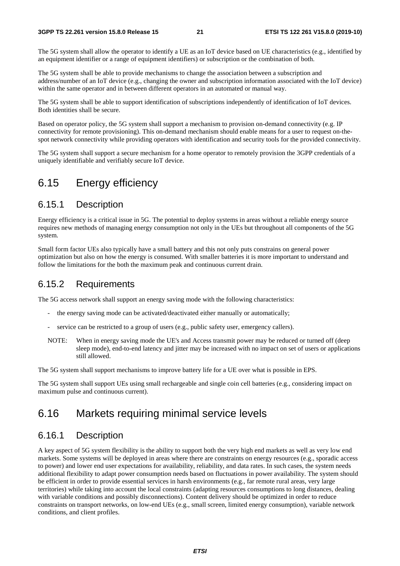The 5G system shall allow the operator to identify a UE as an IoT device based on UE characteristics (e.g., identified by an equipment identifier or a range of equipment identifiers) or subscription or the combination of both.

The 5G system shall be able to provide mechanisms to change the association between a subscription and address/number of an IoT device (e.g., changing the owner and subscription information associated with the IoT device) within the same operator and in between different operators in an automated or manual way.

The 5G system shall be able to support identification of subscriptions independently of identification of IoT devices. Both identities shall be secure.

Based on operator policy, the 5G system shall support a mechanism to provision on-demand connectivity (e.g. IP connectivity for remote provisioning). This on-demand mechanism should enable means for a user to request on-thespot network connectivity while providing operators with identification and security tools for the provided connectivity.

The 5G system shall support a secure mechanism for a home operator to remotely provision the 3GPP credentials of a uniquely identifiable and verifiably secure IoT device.

### 6.15 Energy efficiency

#### 6.15.1 Description

Energy efficiency is a critical issue in 5G. The potential to deploy systems in areas without a reliable energy source requires new methods of managing energy consumption not only in the UEs but throughout all components of the 5G system.

Small form factor UEs also typically have a small battery and this not only puts constrains on general power optimization but also on how the energy is consumed. With smaller batteries it is more important to understand and follow the limitations for the both the maximum peak and continuous current drain.

#### 6.15.2 Requirements

The 5G access network shall support an energy saving mode with the following characteristics:

- the energy saving mode can be activated/deactivated either manually or automatically;
- service can be restricted to a group of users (e.g., public safety user, emergency callers).
- NOTE: When in energy saving mode the UE's and Access transmit power may be reduced or turned off (deep sleep mode), end-to-end latency and jitter may be increased with no impact on set of users or applications still allowed.

The 5G system shall support mechanisms to improve battery life for a UE over what is possible in EPS.

The 5G system shall support UEs using small rechargeable and single coin cell batteries (e.g., considering impact on maximum pulse and continuous current).

### 6.16 Markets requiring minimal service levels

#### 6.16.1 Description

A key aspect of 5G system flexibility is the ability to support both the very high end markets as well as very low end markets. Some systems will be deployed in areas where there are constraints on energy resources (e.g., sporadic access to power) and lower end user expectations for availability, reliability, and data rates. In such cases, the system needs additional flexibility to adapt power consumption needs based on fluctuations in power availability. The system should be efficient in order to provide essential services in harsh environments (e.g., far remote rural areas, very large territories) while taking into account the local constraints (adapting resources consumptions to long distances, dealing with variable conditions and possibly disconnections). Content delivery should be optimized in order to reduce constraints on transport networks, on low-end UEs (e.g., small screen, limited energy consumption), variable network conditions, and client profiles.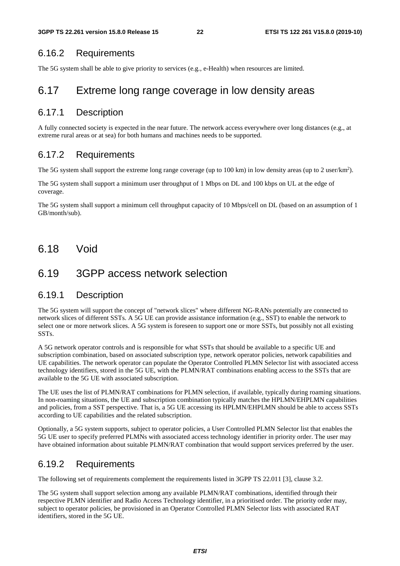### 6.16.2 Requirements

The 5G system shall be able to give priority to services (e.g., e-Health) when resources are limited.

# 6.17 Extreme long range coverage in low density areas

### 6.17.1 Description

A fully connected society is expected in the near future. The network access everywhere over long distances (e.g., at extreme rural areas or at sea) for both humans and machines needs to be supported.

#### 6.17.2 Requirements

The 5G system shall support the extreme long range coverage (up to 100 km) in low density areas (up to 2 user/km<sup>2</sup>).

The 5G system shall support a minimum user throughput of 1 Mbps on DL and 100 kbps on UL at the edge of coverage.

The 5G system shall support a minimum cell throughput capacity of 10 Mbps/cell on DL (based on an assumption of 1 GB/month/sub).

6.18 Void

# 6.19 3GPP access network selection

#### 6.19.1 Description

The 5G system will support the concept of "network slices" where different NG-RANs potentially are connected to network slices of different SSTs. A 5G UE can provide assistance information (e.g., SST) to enable the network to select one or more network slices. A 5G system is foreseen to support one or more SSTs, but possibly not all existing SSTs.

A 5G network operator controls and is responsible for what SSTs that should be available to a specific UE and subscription combination, based on associated subscription type, network operator policies, network capabilities and UE capabilities. The network operator can populate the Operator Controlled PLMN Selector list with associated access technology identifiers, stored in the 5G UE, with the PLMN/RAT combinations enabling access to the SSTs that are available to the 5G UE with associated subscription.

The UE uses the list of PLMN/RAT combinations for PLMN selection, if available, typically during roaming situations. In non-roaming situations, the UE and subscription combination typically matches the HPLMN/EHPLMN capabilities and policies, from a SST perspective. That is, a 5G UE accessing its HPLMN/EHPLMN should be able to access SSTs according to UE capabilities and the related subscription.

Optionally, a 5G system supports, subject to operator policies, a User Controlled PLMN Selector list that enables the 5G UE user to specify preferred PLMNs with associated access technology identifier in priority order. The user may have obtained information about suitable PLMN/RAT combination that would support services preferred by the user.

### 6.19.2 Requirements

The following set of requirements complement the requirements listed in 3GPP TS 22.011 [3], clause 3.2.

The 5G system shall support selection among any available PLMN/RAT combinations, identified through their respective PLMN identifier and Radio Access Technology identifier, in a prioritised order. The priority order may, subject to operator policies, be provisioned in an Operator Controlled PLMN Selector lists with associated RAT identifiers, stored in the 5G UE.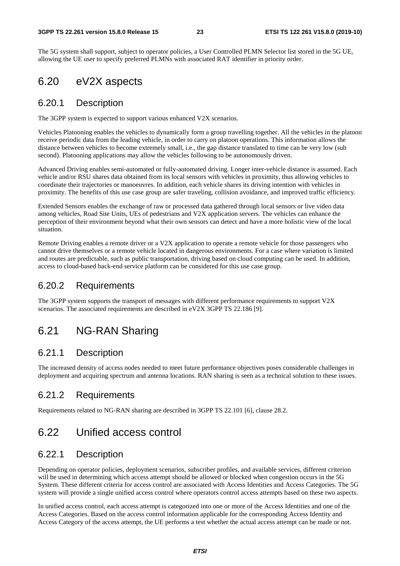The 5G system shall support, subject to operator policies, a User Controlled PLMN Selector list stored in the 5G UE, allowing the UE user to specify preferred PLMNs with associated RAT identifier in priority order.

# 6.20 eV2X aspects

#### 6.20.1 Description

The 3GPP system is expected to support various enhanced V2X scenarios.

Vehicles Platooning enables the vehicles to dynamically form a group travelling together. All the vehicles in the platoon receive periodic data from the leading vehicle, in order to carry on platoon operations. This information allows the distance between vehicles to become extremely small, i.e., the gap distance translated to time can be very low (sub second). Platooning applications may allow the vehicles following to be autonomously driven.

Advanced Driving enables semi-automated or fully-automated driving. Longer inter-vehicle distance is assumed. Each vehicle and/or RSU shares data obtained from its local sensors with vehicles in proximity, thus allowing vehicles to coordinate their trajectories or manoeuvres. In addition, each vehicle shares its driving intention with vehicles in proximity. The benefits of this use case group are safer traveling, collision avoidance, and improved traffic efficiency.

Extended Sensors enables the exchange of raw or processed data gathered through local sensors or live video data among vehicles, Road Site Units, UEs of pedestrians and V2X application servers. The vehicles can enhance the perception of their environment beyond what their own sensors can detect and have a more holistic view of the local situation.

Remote Driving enables a remote driver or a V2X application to operate a remote vehicle for those passengers who cannot drive themselves or a remote vehicle located in dangerous environments. For a case where variation is limited and routes are predictable, such as public transportation, driving based on cloud computing can be used. In addition, access to cloud-based back-end service platform can be considered for this use case group.

#### 6.20.2 Requirements

The 3GPP system supports the transport of messages with different performance requirements to support V2X scenarios. The associated requirements are described in eV2X 3GPP TS 22.186 [9].

### 6.21 NG-RAN Sharing

### 6.21.1 Description

The increased density of access nodes needed to meet future performance objectives poses considerable challenges in deployment and acquiring spectrum and antenna locations. RAN sharing is seen as a technical solution to these issues.

#### 6.21.2 Requirements

Requirements related to NG-RAN sharing are described in 3GPP TS 22.101 [6], clause 28.2.

### 6.22 Unified access control

#### 6.22.1 Description

Depending on operator policies, deployment scenarios, subscriber profiles, and available services, different criterion will be used in determining which access attempt should be allowed or blocked when congestion occurs in the 5G System. These different criteria for access control are associated with Access Identities and Access Categories. The 5G system will provide a single unified access control where operators control access attempts based on these two aspects.

In unified access control, each access attempt is categorized into one or more of the Access Identities and one of the Access Categories. Based on the access control information applicable for the corresponding Access Identity and Access Category of the access attempt, the UE performs a test whether the actual access attempt can be made or not.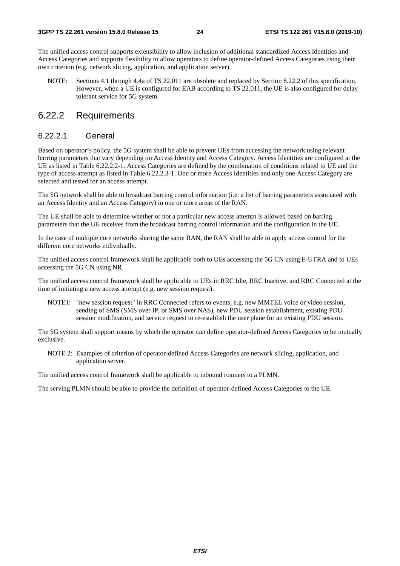The unified access control supports extensibility to allow inclusion of additional standardized Access Identities and Access Categories and supports flexibility to allow operators to define operator-defined Access Categories using their own criterion (e.g. network slicing, application, and application server).

NOTE: Sections 4.1 through 4.4a of TS 22.011 are obsolete and replaced by Section 6.22.2 of this specification. However, when a UE is configured for EAB according to TS 22.011, the UE is also configured for delay tolerant service for 5G system.

#### 6.22.2 Requirements

#### 6.22.2.1 General

Based on operator's policy, the 5G system shall be able to prevent UEs from accessing the network using relevant barring parameters that vary depending on Access Identity and Access Category. Access Identities are configured at the UE as listed in Table 6.22.2.2-1. Access Categories are defined by the combination of conditions related to UE and the type of access attempt as listed in Table 6.22.2.3-1. One or more Access Identities and only one Access Category are selected and tested for an access attempt.

The 5G network shall be able to broadcast barring control information (i.e. a list of barring parameters associated with an Access Identity and an Access Category) in one or more areas of the RAN.

The UE shall be able to determine whether or not a particular new access attempt is allowed based on barring parameters that the UE receives from the broadcast barring control information and the configuration in the UE.

In the case of multiple core networks sharing the same RAN, the RAN shall be able to apply access control for the different core networks individually.

The unified access control framework shall be applicable both to UEs accessing the 5G CN using E-UTRA and to UEs accessing the 5G CN using NR.

The unified access control framework shall be applicable to UEs in RRC Idle, RRC Inactive, and RRC Connected at the time of initiating a new access attempt (e.g. new session request).

NOTE1: "new session request" in RRC Connected refers to events, e.g. new MMTEL voice or video session, sending of SMS (SMS over IP, or SMS over NAS), new PDU session establishment, existing PDU session modification, and service request to re-establish the user plane for an existing PDU session.

The 5G system shall support means by which the operator can define operator-defined Access Categories to be mutually exclusive.

NOTE 2: Examples of criterion of operator-defined Access Categories are network slicing, application, and application server.

The unified access control framework shall be applicable to inbound roamers to a PLMN.

The serving PLMN should be able to provide the definition of operator-defined Access Categories to the UE.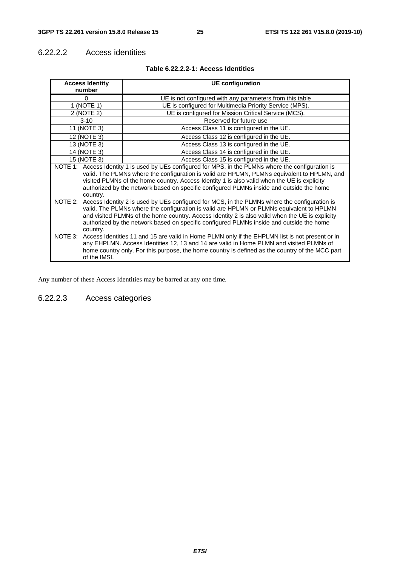#### 6.22.2.2 Access identities

| <b>Access Identity</b> | <b>UE</b> configuration                                                                                                                                                                                                                                                                                                                                                                         |
|------------------------|-------------------------------------------------------------------------------------------------------------------------------------------------------------------------------------------------------------------------------------------------------------------------------------------------------------------------------------------------------------------------------------------------|
| number                 |                                                                                                                                                                                                                                                                                                                                                                                                 |
| 0                      | UE is not configured with any parameters from this table                                                                                                                                                                                                                                                                                                                                        |
| 1 (NOTE 1)             | UE is configured for Multimedia Priority Service (MPS).                                                                                                                                                                                                                                                                                                                                         |
| 2 (NOTE 2)             | UE is configured for Mission Critical Service (MCS).                                                                                                                                                                                                                                                                                                                                            |
| $3 - 10$               | Reserved for future use                                                                                                                                                                                                                                                                                                                                                                         |
| 11 (NOTE 3)            | Access Class 11 is configured in the UE.                                                                                                                                                                                                                                                                                                                                                        |
| 12 (NOTE 3)            | Access Class 12 is configured in the UE.                                                                                                                                                                                                                                                                                                                                                        |
| 13 (NOTE 3)            | Access Class 13 is configured in the UE.                                                                                                                                                                                                                                                                                                                                                        |
| 14 (NOTE 3)            | Access Class 14 is configured in the UE.                                                                                                                                                                                                                                                                                                                                                        |
| 15 (NOTE 3)            | Access Class 15 is configured in the UE.                                                                                                                                                                                                                                                                                                                                                        |
| country.               | NOTE 1: Access Identity 1 is used by UEs configured for MPS, in the PLMNs where the configuration is<br>valid. The PLMNs where the configuration is valid are HPLMN, PLMNs equivalent to HPLMN, and<br>visited PLMNs of the home country. Access Identity 1 is also valid when the UE is explicity<br>authorized by the network based on specific configured PLMNs inside and outside the home  |
| country.               | NOTE 2: Access Identity 2 is used by UEs configured for MCS, in the PLMNs where the configuration is<br>valid. The PLMNs where the configuration is valid are HPLMN or PLMNs equivalent to HPLMN<br>and visited PLMNs of the home country. Access Identity 2 is also valid when the UE is explicity<br>authorized by the network based on specific configured PLMNs inside and outside the home |
| of the IMSI.           | NOTE 3: Access Identities 11 and 15 are valid in Home PLMN only if the EHPLMN list is not present or in<br>any EHPLMN. Access Identities 12, 13 and 14 are valid in Home PLMN and visited PLMNs of<br>home country only. For this purpose, the home country is defined as the country of the MCC part                                                                                           |

#### **Table 6.22.2.2-1: Access Identities**

Any number of these Access Identities may be barred at any one time.

#### 6.22.2.3 Access categories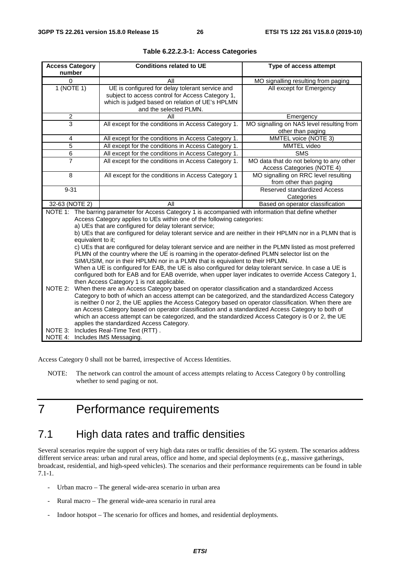| <b>Access Category</b><br>number | <b>Conditions related to UE</b>                                                                                                                                                                                                                                                                                                                                                                                                                                                                                                                                                                                                                                                                                                                                                                                                                                                                                                                                                                                                                                                                                                                                                                                                                                                                                                                                                                                                                                                                        | Type of access attempt                                                |
|----------------------------------|--------------------------------------------------------------------------------------------------------------------------------------------------------------------------------------------------------------------------------------------------------------------------------------------------------------------------------------------------------------------------------------------------------------------------------------------------------------------------------------------------------------------------------------------------------------------------------------------------------------------------------------------------------------------------------------------------------------------------------------------------------------------------------------------------------------------------------------------------------------------------------------------------------------------------------------------------------------------------------------------------------------------------------------------------------------------------------------------------------------------------------------------------------------------------------------------------------------------------------------------------------------------------------------------------------------------------------------------------------------------------------------------------------------------------------------------------------------------------------------------------------|-----------------------------------------------------------------------|
| 0                                | Αll                                                                                                                                                                                                                                                                                                                                                                                                                                                                                                                                                                                                                                                                                                                                                                                                                                                                                                                                                                                                                                                                                                                                                                                                                                                                                                                                                                                                                                                                                                    | MO signalling resulting from paging                                   |
| 1(NOTE 1)                        | UE is configured for delay tolerant service and<br>subject to access control for Access Category 1,<br>which is judged based on relation of UE's HPLMN<br>and the selected PLMN.                                                                                                                                                                                                                                                                                                                                                                                                                                                                                                                                                                                                                                                                                                                                                                                                                                                                                                                                                                                                                                                                                                                                                                                                                                                                                                                       | All except for Emergency                                              |
| $\overline{2}$                   | All                                                                                                                                                                                                                                                                                                                                                                                                                                                                                                                                                                                                                                                                                                                                                                                                                                                                                                                                                                                                                                                                                                                                                                                                                                                                                                                                                                                                                                                                                                    | Emergency                                                             |
| $\overline{3}$                   | All except for the conditions in Access Category 1.                                                                                                                                                                                                                                                                                                                                                                                                                                                                                                                                                                                                                                                                                                                                                                                                                                                                                                                                                                                                                                                                                                                                                                                                                                                                                                                                                                                                                                                    | MO signalling on NAS level resulting from<br>other than paging        |
| 4                                | All except for the conditions in Access Category 1.                                                                                                                                                                                                                                                                                                                                                                                                                                                                                                                                                                                                                                                                                                                                                                                                                                                                                                                                                                                                                                                                                                                                                                                                                                                                                                                                                                                                                                                    | MMTEL voice (NOTE 3)                                                  |
| 5                                | All except for the conditions in Access Category 1.                                                                                                                                                                                                                                                                                                                                                                                                                                                                                                                                                                                                                                                                                                                                                                                                                                                                                                                                                                                                                                                                                                                                                                                                                                                                                                                                                                                                                                                    | MMTEL video                                                           |
| 6                                | All except for the conditions in Access Category 1.                                                                                                                                                                                                                                                                                                                                                                                                                                                                                                                                                                                                                                                                                                                                                                                                                                                                                                                                                                                                                                                                                                                                                                                                                                                                                                                                                                                                                                                    | <b>SMS</b>                                                            |
| $\overline{7}$                   | All except for the conditions in Access Category 1.                                                                                                                                                                                                                                                                                                                                                                                                                                                                                                                                                                                                                                                                                                                                                                                                                                                                                                                                                                                                                                                                                                                                                                                                                                                                                                                                                                                                                                                    | MO data that do not belong to any other<br>Access Categories (NOTE 4) |
| $\overline{8}$                   | All except for the conditions in Access Category 1                                                                                                                                                                                                                                                                                                                                                                                                                                                                                                                                                                                                                                                                                                                                                                                                                                                                                                                                                                                                                                                                                                                                                                                                                                                                                                                                                                                                                                                     | MO signalling on RRC level resulting<br>from other than paging        |
| $9 - 31$                         | Reserved standardized Access<br>Categories                                                                                                                                                                                                                                                                                                                                                                                                                                                                                                                                                                                                                                                                                                                                                                                                                                                                                                                                                                                                                                                                                                                                                                                                                                                                                                                                                                                                                                                             |                                                                       |
| 32-63 (NOTE 2)                   | Based on operator classification<br>All                                                                                                                                                                                                                                                                                                                                                                                                                                                                                                                                                                                                                                                                                                                                                                                                                                                                                                                                                                                                                                                                                                                                                                                                                                                                                                                                                                                                                                                                |                                                                       |
| equivalent to it;<br>NOTE 2:     | NOTE 1: The barring parameter for Access Category 1 is accompanied with information that define whether<br>Access Category applies to UEs within one of the following categories:<br>a) UEs that are configured for delay tolerant service;<br>b) UEs that are configured for delay tolerant service and are neither in their HPLMN nor in a PLMN that is<br>c) UEs that are configured for delay tolerant service and are neither in the PLMN listed as most preferred<br>PLMN of the country where the UE is roaming in the operator-defined PLMN selector list on the<br>SIM/USIM, nor in their HPLMN nor in a PLMN that is equivalent to their HPLMN.<br>When a UE is configured for EAB, the UE is also configured for delay tolerant service. In case a UE is<br>configured both for EAB and for EAB override, when upper layer indicates to override Access Category 1,<br>then Access Category 1 is not applicable.<br>When there are an Access Category based on operator classification and a standardized Access<br>Category to both of which an access attempt can be categorized, and the standardized Access Category<br>is neither 0 nor 2, the UE applies the Access Category based on operator classification. When there are<br>an Access Category based on operator classification and a standardized Access Category to both of<br>which an access attempt can be categorized, and the standardized Access Category is 0 or 2, the UE<br>applies the standardized Access Category. |                                                                       |
| NOTE 3:<br>NOTE 4:               | Includes Real-Time Text (RTT).<br>Includes IMS Messaging.                                                                                                                                                                                                                                                                                                                                                                                                                                                                                                                                                                                                                                                                                                                                                                                                                                                                                                                                                                                                                                                                                                                                                                                                                                                                                                                                                                                                                                              |                                                                       |

#### **Table 6.22.2.3-1: Access Categories**

Access Category 0 shall not be barred, irrespective of Access Identities.

NOTE: The network can control the amount of access attempts relating to Access Category 0 by controlling whether to send paging or not.

# 7 Performance requirements

# 7.1 High data rates and traffic densities

Several scenarios require the support of very high data rates or traffic densities of the 5G system. The scenarios address different service areas: urban and rural areas, office and home, and special deployments (e.g., massive gatherings, broadcast, residential, and high-speed vehicles). The scenarios and their performance requirements can be found in table 7.1-1.

- Urban macro The general wide-area scenario in urban area
- Rural macro The general wide-area scenario in rural area
- Indoor hotspot The scenario for offices and homes, and residential deployments.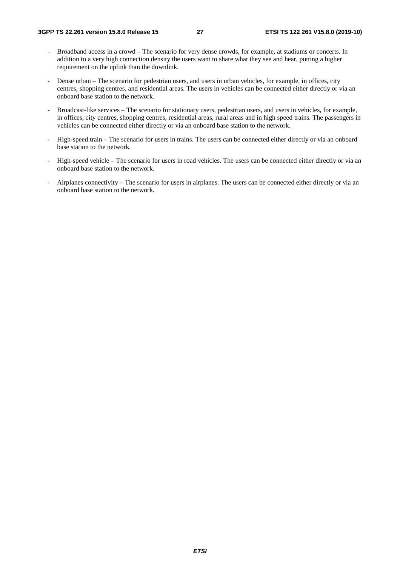- Broadband access in a crowd The scenario for very dense crowds, for example, at stadiums or concerts. In addition to a very high connection density the users want to share what they see and hear, putting a higher requirement on the uplink than the downlink.
- Dense urban The scenario for pedestrian users, and users in urban vehicles, for example, in offices, city centres, shopping centres, and residential areas. The users in vehicles can be connected either directly or via an onboard base station to the network.
- Broadcast-like services The scenario for stationary users, pedestrian users, and users in vehicles, for example, in offices, city centres, shopping centres, residential areas, rural areas and in high speed trains. The passengers in vehicles can be connected either directly or via an onboard base station to the network.
- High-speed train The scenario for users in trains. The users can be connected either directly or via an onboard base station to the network.
- High-speed vehicle The scenario for users in road vehicles. The users can be connected either directly or via an onboard base station to the network.
- Airplanes connectivity The scenario for users in airplanes. The users can be connected either directly or via an onboard base station to the network.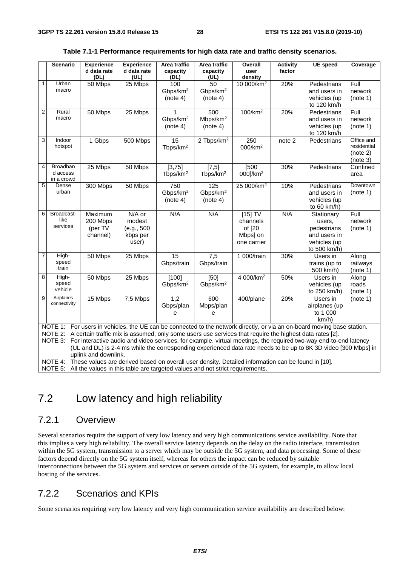|                | <b>Scenario</b>    | <b>Experience</b><br>d data rate | <b>Experience</b><br>d data rate | Area traffic<br>capacity        | Area traffic<br>capacity                                                              | Overall<br>user                                                                                                 | <b>Activity</b><br>factor | <b>UE</b> speed                                                                                                         | Coverage         |
|----------------|--------------------|----------------------------------|----------------------------------|---------------------------------|---------------------------------------------------------------------------------------|-----------------------------------------------------------------------------------------------------------------|---------------------------|-------------------------------------------------------------------------------------------------------------------------|------------------|
|                |                    | (DL)                             | (UL)                             | (DL)                            | (UL)                                                                                  | density                                                                                                         |                           |                                                                                                                         |                  |
| $\mathbf{1}$   | Urban              | 50 Mbps                          | 25 Mbps                          | 100                             | 50                                                                                    | 10 000/km <sup>2</sup>                                                                                          | 20%                       | Pedestrians                                                                                                             | Full             |
|                | macro              |                                  |                                  | Gbps/km <sup>2</sup>            | Gbps/km <sup>2</sup>                                                                  |                                                                                                                 |                           | and users in                                                                                                            | network          |
|                |                    |                                  |                                  | (note 4)                        | (note 4)                                                                              |                                                                                                                 |                           | vehicles (up                                                                                                            | (note 1)         |
| $\overline{2}$ | Rural              |                                  |                                  |                                 |                                                                                       | 100/km <sup>2</sup>                                                                                             | 20%                       | to 120 km/h                                                                                                             | Full             |
|                | macro              | 50 Mbps                          | 25 Mbps                          | Gbps/km <sup>2</sup>            | 500<br>Mbps/km <sup>2</sup>                                                           |                                                                                                                 |                           | Pedestrians<br>and users in                                                                                             | network          |
|                |                    |                                  |                                  | (note 4)                        | (note 4)                                                                              |                                                                                                                 |                           | vehicles (up                                                                                                            | (note 1)         |
|                |                    |                                  |                                  |                                 |                                                                                       |                                                                                                                 |                           | to 120 km/h                                                                                                             |                  |
| 3              | Indoor             | $\overline{1}$ Gbps              | 500 Mbps                         | 15                              | 2 Tbps/km <sup>2</sup>                                                                | 250                                                                                                             | note <sub>2</sub>         | Pedestrians                                                                                                             | Office and       |
|                | hotspot            |                                  |                                  | Tbps/km $2$                     |                                                                                       | 000/km <sup>2</sup>                                                                                             |                           |                                                                                                                         | residential      |
|                |                    |                                  |                                  |                                 |                                                                                       |                                                                                                                 |                           |                                                                                                                         | (note 2)         |
| 4              | Broadban           |                                  |                                  |                                 |                                                                                       |                                                                                                                 |                           |                                                                                                                         | (note 3)         |
|                | d access           | 25 Mbps                          | 50 Mbps                          | [3, 75]<br>Tbps/km <sup>2</sup> | [7,5]<br>Tbps/km <sup>2</sup>                                                         | [500<br>000]/km <sup>2</sup>                                                                                    | 30%                       | Pedestrians                                                                                                             | Confined<br>area |
|                | in a crowd         |                                  |                                  |                                 |                                                                                       |                                                                                                                 |                           |                                                                                                                         |                  |
| 5              | Dense              | 300 Mbps                         | 50 Mbps                          | 750                             | 125                                                                                   | 25 000/km <sup>2</sup>                                                                                          | 10%                       | Pedestrians                                                                                                             | Downtown         |
|                | urban              |                                  |                                  | Gbps/km <sup>2</sup>            | Gbps/km <sup>2</sup>                                                                  |                                                                                                                 |                           | and users in                                                                                                            | (note 1)         |
|                |                    |                                  |                                  | (note 4)                        | (note 4)                                                                              |                                                                                                                 |                           | vehicles (up                                                                                                            |                  |
|                |                    |                                  |                                  |                                 |                                                                                       |                                                                                                                 |                           | to 60 km/h)                                                                                                             |                  |
| 6              | Broadcast-<br>like | Maximum                          | N/A or<br>modest                 | N/A                             | N/A                                                                                   | $[15]$ TV<br>channels                                                                                           | N/A                       | Stationary                                                                                                              | Full<br>network  |
|                | services           | 200 Mbps<br>(per TV              | (e.g., 500                       |                                 |                                                                                       | of [20                                                                                                          |                           | users,<br>pedestrians                                                                                                   | (note 1)         |
|                |                    | channel)                         | kbps per                         |                                 |                                                                                       | Mbps] on                                                                                                        |                           | and users in                                                                                                            |                  |
|                |                    |                                  | user)                            |                                 |                                                                                       | one carrier                                                                                                     |                           | vehicles (up                                                                                                            |                  |
|                |                    |                                  |                                  |                                 |                                                                                       |                                                                                                                 |                           | to 500 km/h)                                                                                                            |                  |
| 7              | High-              | 50 Mbps                          | 25 Mbps                          | 15                              | 7,5                                                                                   | 1 000/train                                                                                                     | 30%                       | Users in                                                                                                                | Along            |
|                | speed              |                                  |                                  | Gbps/train                      | Gbps/train                                                                            |                                                                                                                 |                           | trains (up to                                                                                                           | railways         |
|                | train              |                                  |                                  |                                 |                                                                                       |                                                                                                                 |                           | 500 km/h)                                                                                                               | (note 1)         |
| 8              | High-              | 50 Mbps                          | 25 Mbps                          | [100]                           | [50]                                                                                  | 4 000/km <sup>2</sup>                                                                                           | 50%                       | Users in                                                                                                                | Along            |
|                | speed<br>vehicle   |                                  |                                  | Gbps/km <sup>2</sup>            | Gbps/km <sup>2</sup>                                                                  |                                                                                                                 |                           | vehicles (up                                                                                                            | roads            |
|                | Airplanes          |                                  |                                  |                                 |                                                                                       |                                                                                                                 |                           | to 250 km/h)                                                                                                            | $(note_1)$       |
| 9              | connectivity       | 15 Mbps                          | 7,5 Mbps                         | 1,2                             | 600                                                                                   | 400/plane                                                                                                       | 20%                       | Users in                                                                                                                | (note 1)         |
|                |                    |                                  |                                  | Gbps/plan<br>e                  | Mbps/plan<br>e                                                                        |                                                                                                                 |                           | airplanes (up<br>to 1 000                                                                                               |                  |
|                |                    |                                  |                                  |                                 |                                                                                       |                                                                                                                 |                           | km/h)                                                                                                                   |                  |
|                |                    |                                  |                                  |                                 |                                                                                       |                                                                                                                 |                           | NOTE 1: For users in vehicles, the UE can be connected to the network directly, or via an on-board moving base station. |                  |
|                |                    |                                  |                                  |                                 |                                                                                       | NOTE 2: A certain traffic mix is assumed; only some users use services that require the highest data rates [2]. |                           |                                                                                                                         |                  |
|                | NOTE 3:            |                                  |                                  |                                 |                                                                                       |                                                                                                                 |                           | For interactive audio and video services, for example, virtual meetings, the required two-way end-to-end latency        |                  |
|                |                    |                                  |                                  |                                 |                                                                                       |                                                                                                                 |                           | (UL and DL) is 2-4 ms while the corresponding experienced data rate needs to be up to 8K 3D video [300 Mbps] in         |                  |
|                |                    | uplink and downlink.             |                                  |                                 |                                                                                       |                                                                                                                 |                           |                                                                                                                         |                  |
|                |                    |                                  |                                  |                                 |                                                                                       | NOTE 4: These values are derived based on overall user density. Detailed information can be found in [10].      |                           |                                                                                                                         |                  |
|                |                    |                                  |                                  |                                 | NOTE 5: All the values in this table are targeted values and not strict requirements. |                                                                                                                 |                           |                                                                                                                         |                  |

#### **Table 7.1-1 Performance requirements for high data rate and traffic density scenarios.**

7.2 Low latency and high reliability

#### 7.2.1 Overview

Several scenarios require the support of very low latency and very high communications service availability. Note that this implies a very high reliability. The overall service latency depends on the delay on the radio interface, transmission within the 5G system, transmission to a server which may be outside the 5G system, and data processing. Some of these factors depend directly on the 5G system itself, whereas for others the impact can be reduced by suitable interconnections between the 5G system and services or servers outside of the 5G system, for example, to allow local hosting of the services.

#### 7.2.2 Scenarios and KPIs

Some scenarios requiring very low latency and very high communication service availability are described below: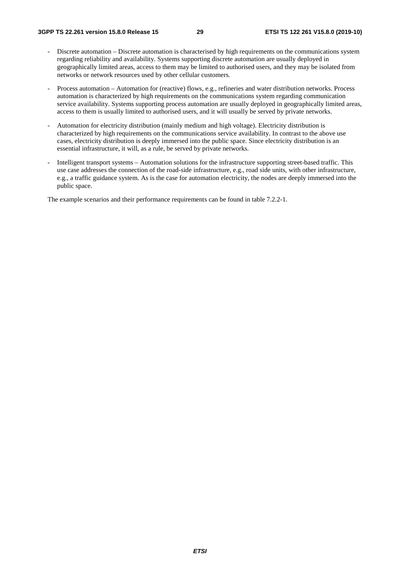- Discrete automation Discrete automation is characterised by high requirements on the communications system regarding reliability and availability. Systems supporting discrete automation are usually deployed in geographically limited areas, access to them may be limited to authorised users, and they may be isolated from networks or network resources used by other cellular customers.
- Process automation Automation for (reactive) flows, e.g., refineries and water distribution networks. Process automation is characterized by high requirements on the communications system regarding communication service availability. Systems supporting process automation are usually deployed in geographically limited areas, access to them is usually limited to authorised users, and it will usually be served by private networks.
- Automation for electricity distribution (mainly medium and high voltage). Electricity distribution is characterized by high requirements on the communications service availability. In contrast to the above use cases, electricity distribution is deeply immersed into the public space. Since electricity distribution is an essential infrastructure, it will, as a rule, be served by private networks.
- Intelligent transport systems Automation solutions for the infrastructure supporting street-based traffic. This use case addresses the connection of the road-side infrastructure, e.g., road side units, with other infrastructure, e.g., a traffic guidance system. As is the case for automation electricity, the nodes are deeply immersed into the public space.

The example scenarios and their performance requirements can be found in table 7.2.2-1.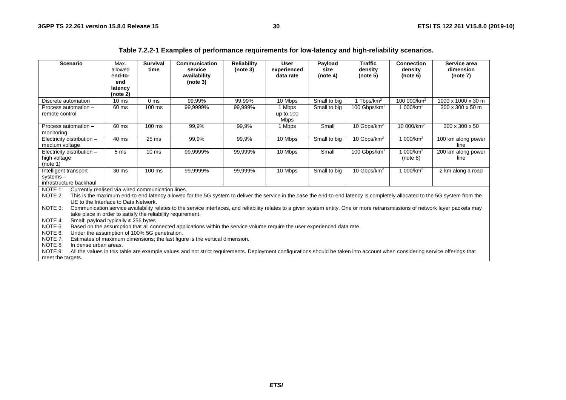| Table 7.2.2-1 Examples of performance requirements for low-latency and high-reliability scenarios. |  |  |  |  |
|----------------------------------------------------------------------------------------------------|--|--|--|--|
|----------------------------------------------------------------------------------------------------|--|--|--|--|

| <b>Scenario</b>                                                        | Max.<br>allowed<br>end-to- | <b>Survival</b><br>time | Communication<br>service<br>availability                                                                                                                                         | <b>Reliability</b><br>(note 3) | <b>User</b><br>experienced<br>data rate | Payload<br>size<br>(note 4) | <b>Traffic</b><br>density | <b>Connection</b><br>density | Service area<br>dimension<br>(note 7) |
|------------------------------------------------------------------------|----------------------------|-------------------------|----------------------------------------------------------------------------------------------------------------------------------------------------------------------------------|--------------------------------|-----------------------------------------|-----------------------------|---------------------------|------------------------------|---------------------------------------|
|                                                                        | end                        |                         | (note 3)                                                                                                                                                                         |                                |                                         |                             | (note 5)                  | (note 6)                     |                                       |
|                                                                        | latency                    |                         |                                                                                                                                                                                  |                                |                                         |                             |                           |                              |                                       |
|                                                                        | (note 2)                   |                         |                                                                                                                                                                                  |                                |                                         |                             |                           |                              |                                       |
| Discrete automation                                                    | 10 <sub>ms</sub>           | 0 <sub>ms</sub>         | 99.99%                                                                                                                                                                           | 99,99%                         | 10 Mbps                                 | Small to big                | 1 Tbps/km <sup>2</sup>    | 100 000/km <sup>2</sup>      | 1000 x 1000 x 30 m                    |
| Process automation -                                                   | 60 ms                      | $100 \text{ ms}$        | 99,9999%                                                                                                                                                                         | 99,999%                        | 1 Mbps                                  | Small to big                | 100 Gbps/km <sup>2</sup>  | 1 000/km <sup>2</sup>        | $300 \times 300 \times 50$ m          |
| remote control                                                         |                            |                         |                                                                                                                                                                                  |                                | up to 100<br><b>Mbps</b>                |                             |                           |                              |                                       |
| Process automation -<br>monitoring                                     | 60 ms                      | 100 ms                  | 99,9%                                                                                                                                                                            | 99,9%                          | 1 Mbps                                  | Small                       | 10 Gbps/km <sup>2</sup>   | 10 000/km <sup>2</sup>       | 300 x 300 x 50                        |
| Electricity distribution -                                             | 40 ms                      | $25$ ms                 | 99,9%                                                                                                                                                                            | 99,9%                          | 10 Mbps                                 | Small to big                | 10 Gbps/km <sup>2</sup>   | 1 000/km <sup>2</sup>        | 100 km along power                    |
| medium voltage                                                         |                            |                         |                                                                                                                                                                                  |                                |                                         |                             |                           |                              | line                                  |
| Electricity distribution -                                             | 5 <sub>ms</sub>            | 10 <sub>ms</sub>        | 99,9999%                                                                                                                                                                         | 99,999%                        | 10 Mbps                                 | Small                       | 100 Gbps/km <sup>2</sup>  | 1 000/km <sup>2</sup>        | 200 km along power                    |
| high voltage<br>(note 1)                                               |                            |                         |                                                                                                                                                                                  |                                |                                         |                             |                           | (note 8)                     | line                                  |
| Intelligent transport                                                  | 30 <sub>ms</sub>           | $100 \text{ ms}$        | 99,9999%                                                                                                                                                                         | 99,999%                        | 10 Mbps                                 | Small to big                | 10 Gbps/km <sup>2</sup>   | 1 000/km <sup>2</sup>        | 2 km along a road                     |
| $systems -$                                                            |                            |                         |                                                                                                                                                                                  |                                |                                         |                             |                           |                              |                                       |
| infrastructure backhaul                                                |                            |                         |                                                                                                                                                                                  |                                |                                         |                             |                           |                              |                                       |
| Currently realised via wired communication lines.<br>NOTE 1:           |                            |                         |                                                                                                                                                                                  |                                |                                         |                             |                           |                              |                                       |
| NOTE 2:                                                                |                            |                         | This is the maximum end-to-end latency allowed for the 5G system to deliver the service in the case the end-to-end latency is completely allocated to the 5G system from the     |                                |                                         |                             |                           |                              |                                       |
| UE to the Interface to Data Network.                                   |                            |                         |                                                                                                                                                                                  |                                |                                         |                             |                           |                              |                                       |
| NOTE 3:<br>take place in order to satisfy the reliability requirement. |                            |                         | Communication service availability relates to the service interfaces, and reliability relates to a given system entity. One or more retransmissions of network layer packets may |                                |                                         |                             |                           |                              |                                       |
| NOTE 4:<br>Small: payload typically $\leq$ 256 bytes                   |                            |                         |                                                                                                                                                                                  |                                |                                         |                             |                           |                              |                                       |
| NOTE 5:                                                                |                            |                         | Based on the assumption that all connected applications within the service volume require the user experienced data rate.                                                        |                                |                                         |                             |                           |                              |                                       |
| NOTE 6:<br>Under the assumption of 100% 5G penetration.                |                            |                         |                                                                                                                                                                                  |                                |                                         |                             |                           |                              |                                       |
| NOTE 7:                                                                |                            |                         | Estimates of maximum dimensions; the last figure is the vertical dimension.                                                                                                      |                                |                                         |                             |                           |                              |                                       |
| NOTE 8:<br>In dense urban areas.                                       |                            |                         |                                                                                                                                                                                  |                                |                                         |                             |                           |                              |                                       |
| NOTE 9:                                                                |                            |                         | All the values in this table are example values and not strict requirements. Deployment configurations should be taken into account when considering service offerings that      |                                |                                         |                             |                           |                              |                                       |
| meet the targets.                                                      |                            |                         |                                                                                                                                                                                  |                                |                                         |                             |                           |                              |                                       |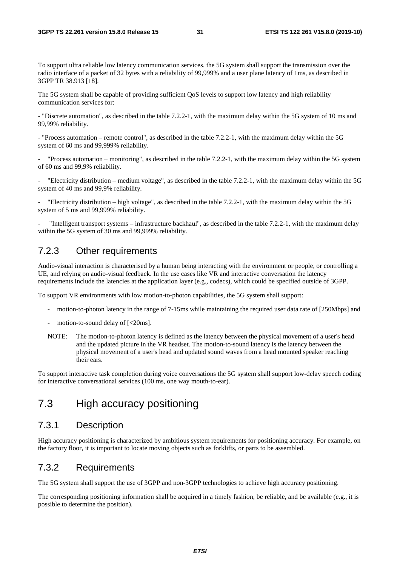To support ultra reliable low latency communication services, the 5G system shall support the transmission over the radio interface of a packet of 32 bytes with a reliability of 99,999% and a user plane latency of 1ms, as described in 3GPP TR 38.913 [18].

The 5G system shall be capable of providing sufficient QoS levels to support low latency and high reliability communication services for:

- "Discrete automation", as described in the table 7.2.2-1, with the maximum delay within the 5G system of 10 ms and 99,99% reliability.

- "Process automation – remote control", as described in the table 7.2.2-1, with the maximum delay within the 5G system of 60 ms and 99,999% reliability.

"Process automation – monitoring", as described in the table 7.2.2-1, with the maximum delay within the 5G system of 60 ms and 99,9% reliability.

"Electricity distribution – medium voltage", as described in the table  $7.2.2$ -1, with the maximum delay within the 5G system of 40 ms and 99,9% reliability.

- "Electricity distribution – high voltage", as described in the table 7.2.2-1, with the maximum delay within the 5G system of 5 ms and 99,999% reliability.

- "Intelligent transport systems – infrastructure backhaul", as described in the table 7.2.2-1, with the maximum delay within the 5G system of 30 ms and 99,999% reliability.

#### 7.2.3 Other requirements

Audio-visual interaction is characterised by a human being interacting with the environment or people, or controlling a UE, and relying on audio-visual feedback. In the use cases like VR and interactive conversation the latency requirements include the latencies at the application layer (e.g., codecs), which could be specified outside of 3GPP.

To support VR environments with low motion-to-photon capabilities, the 5G system shall support:

- motion-to-photon latency in the range of 7-15ms while maintaining the required user data rate of [250Mbps] and
- motion-to-sound delay of  $\left[<20\text{ms}\right]$ .
- NOTE: The motion-to-photon latency is defined as the latency between the physical movement of a user's head and the updated picture in the VR headset. The motion-to-sound latency is the latency between the physical movement of a user's head and updated sound waves from a head mounted speaker reaching their ears.

To support interactive task completion during voice conversations the 5G system shall support low-delay speech coding for interactive conversational services (100 ms, one way mouth-to-ear).

# 7.3 High accuracy positioning

#### 7.3.1 Description

High accuracy positioning is characterized by ambitious system requirements for positioning accuracy. For example, on the factory floor, it is important to locate moving objects such as forklifts, or parts to be assembled.

#### 7.3.2 Requirements

The 5G system shall support the use of 3GPP and non-3GPP technologies to achieve high accuracy positioning.

The corresponding positioning information shall be acquired in a timely fashion, be reliable, and be available (e.g., it is possible to determine the position).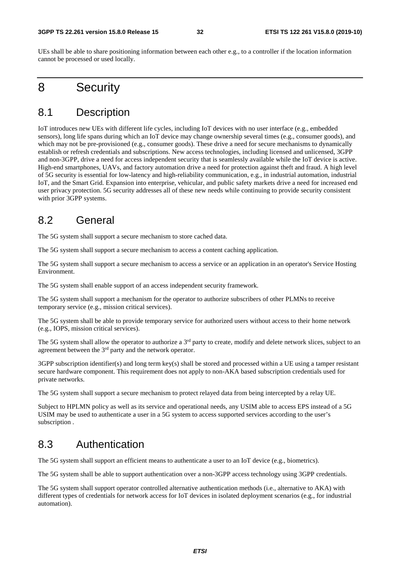UEs shall be able to share positioning information between each other e.g., to a controller if the location information cannot be processed or used locally.

# 8 Security

# 8.1 Description

IoT introduces new UEs with different life cycles, including IoT devices with no user interface (e.g., embedded sensors), long life spans during which an IoT device may change ownership several times (e.g., consumer goods), and which may not be pre-provisioned (e.g., consumer goods). These drive a need for secure mechanisms to dynamically establish or refresh credentials and subscriptions. New access technologies, including licensed and unlicensed, 3GPP and non-3GPP, drive a need for access independent security that is seamlessly available while the IoT device is active. High-end smartphones, UAVs, and factory automation drive a need for protection against theft and fraud. A high level of 5G security is essential for low-latency and high-reliability communication, e.g., in industrial automation, industrial IoT, and the Smart Grid. Expansion into enterprise, vehicular, and public safety markets drive a need for increased end user privacy protection. 5G security addresses all of these new needs while continuing to provide security consistent with prior 3GPP systems.

# 8.2 General

The 5G system shall support a secure mechanism to store cached data.

The 5G system shall support a secure mechanism to access a content caching application.

The 5G system shall support a secure mechanism to access a service or an application in an operator's Service Hosting Environment.

The 5G system shall enable support of an access independent security framework.

The 5G system shall support a mechanism for the operator to authorize subscribers of other PLMNs to receive temporary service (e.g., mission critical services).

The 5G system shall be able to provide temporary service for authorized users without access to their home network (e.g., IOPS, mission critical services).

The 5G system shall allow the operator to authorize a 3<sup>rd</sup> party to create, modify and delete network slices, subject to an agreement between the 3<sup>rd</sup> party and the network operator.

 $3GPP$  subscription identifier(s) and long term key(s) shall be stored and processed within a UE using a tamper resistant secure hardware component. This requirement does not apply to non-AKA based subscription credentials used for private networks.

The 5G system shall support a secure mechanism to protect relayed data from being intercepted by a relay UE.

Subject to HPLMN policy as well as its service and operational needs, any USIM able to access EPS instead of a 5G USIM may be used to authenticate a user in a 5G system to access supported services according to the user's subscription .

### 8.3 Authentication

The 5G system shall support an efficient means to authenticate a user to an IoT device (e.g., biometrics).

The 5G system shall be able to support authentication over a non-3GPP access technology using 3GPP credentials.

The 5G system shall support operator controlled alternative authentication methods (i.e., alternative to AKA) with different types of credentials for network access for IoT devices in isolated deployment scenarios (e.g., for industrial automation).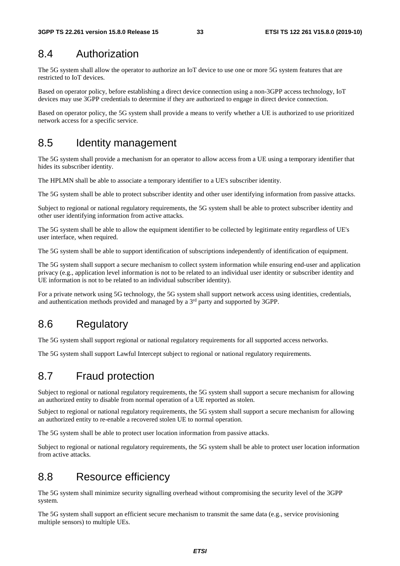# 8.4 Authorization

The 5G system shall allow the operator to authorize an IoT device to use one or more 5G system features that are restricted to IoT devices.

Based on operator policy, before establishing a direct device connection using a non-3GPP access technology, IoT devices may use 3GPP credentials to determine if they are authorized to engage in direct device connection.

Based on operator policy, the 5G system shall provide a means to verify whether a UE is authorized to use prioritized network access for a specific service.

# 8.5 Identity management

The 5G system shall provide a mechanism for an operator to allow access from a UE using a temporary identifier that hides its subscriber identity.

The HPLMN shall be able to associate a temporary identifier to a UE's subscriber identity.

The 5G system shall be able to protect subscriber identity and other user identifying information from passive attacks.

Subject to regional or national regulatory requirements, the 5G system shall be able to protect subscriber identity and other user identifying information from active attacks.

The 5G system shall be able to allow the equipment identifier to be collected by legitimate entity regardless of UE's user interface, when required.

The 5G system shall be able to support identification of subscriptions independently of identification of equipment.

The 5G system shall support a secure mechanism to collect system information while ensuring end-user and application privacy (e.g., application level information is not to be related to an individual user identity or subscriber identity and UE information is not to be related to an individual subscriber identity).

For a private network using 5G technology, the 5G system shall support network access using identities, credentials, and authentication methods provided and managed by a 3rd party and supported by 3GPP.

# 8.6 Regulatory

The 5G system shall support regional or national regulatory requirements for all supported access networks.

The 5G system shall support Lawful Intercept subject to regional or national regulatory requirements.

# 8.7 Fraud protection

Subject to regional or national regulatory requirements, the 5G system shall support a secure mechanism for allowing an authorized entity to disable from normal operation of a UE reported as stolen.

Subject to regional or national regulatory requirements, the 5G system shall support a secure mechanism for allowing an authorized entity to re-enable a recovered stolen UE to normal operation.

The 5G system shall be able to protect user location information from passive attacks.

Subject to regional or national regulatory requirements, the 5G system shall be able to protect user location information from active attacks.

# 8.8 Resource efficiency

The 5G system shall minimize security signalling overhead without compromising the security level of the 3GPP system.

The 5G system shall support an efficient secure mechanism to transmit the same data (e.g., service provisioning multiple sensors) to multiple UEs.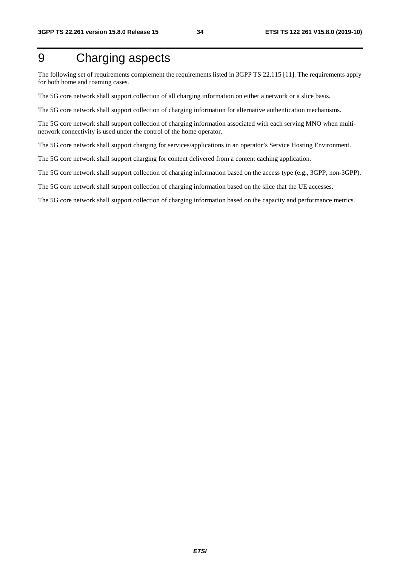# 9 Charging aspects

The following set of requirements complement the requirements listed in 3GPP TS 22.115 [11]. The requirements apply for both home and roaming cases.

The 5G core network shall support collection of all charging information on either a network or a slice basis.

The 5G core network shall support collection of charging information for alternative authentication mechanisms.

The 5G core network shall support collection of charging information associated with each serving MNO when multinetwork connectivity is used under the control of the home operator.

The 5G core network shall support charging for services/applications in an operator's Service Hosting Environment.

The 5G core network shall support charging for content delivered from a content caching application.

The 5G core network shall support collection of charging information based on the access type (e.g., 3GPP, non-3GPP).

The 5G core network shall support collection of charging information based on the slice that the UE accesses.

The 5G core network shall support collection of charging information based on the capacity and performance metrics.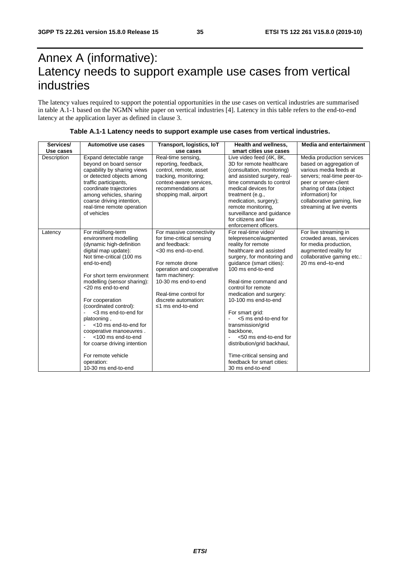# Annex A (informative): Latency needs to support example use cases from vertical industries

The latency values required to support the potential opportunities in the use cases on vertical industries are summarised in table A.1-1 based on the NGMN white paper on vertical industries [4]. Latency in this table refers to the end-to-end latency at the application layer as defined in clause 3.

| Services/<br>Use cases | Automotive use cases                                                                                                                                                                                                                                                                                                                                                                                                                                                                  | Transport, logistics, IoT<br>use cases                                                                                                                                                                                                                       | Health and wellness,<br>smart cities use cases                                                                                                                                                                                                                                                                                                                                                                                                                                                        | <b>Media and entertainment</b>                                                                                                                                                                                                                  |
|------------------------|---------------------------------------------------------------------------------------------------------------------------------------------------------------------------------------------------------------------------------------------------------------------------------------------------------------------------------------------------------------------------------------------------------------------------------------------------------------------------------------|--------------------------------------------------------------------------------------------------------------------------------------------------------------------------------------------------------------------------------------------------------------|-------------------------------------------------------------------------------------------------------------------------------------------------------------------------------------------------------------------------------------------------------------------------------------------------------------------------------------------------------------------------------------------------------------------------------------------------------------------------------------------------------|-------------------------------------------------------------------------------------------------------------------------------------------------------------------------------------------------------------------------------------------------|
| Description            | Expand detectable range<br>beyond on board sensor<br>capability by sharing views<br>or detected objects among<br>traffic participants,<br>coordinate trajectories<br>among vehicles, sharing<br>coarse driving intention,<br>real-time remote operation<br>of vehicles                                                                                                                                                                                                                | Real-time sensing,<br>reporting, feedback,<br>control, remote, asset<br>tracking, monitoring;<br>context-aware services,<br>recommendations at<br>shopping mall, airport                                                                                     | Live video feed (4K, 8K,<br>3D for remote healthcare<br>(consultation, monitoring)<br>and assisted surgery, real-<br>time commands to control<br>medical devices for<br>treatment (e.g.,<br>medication, surgery);<br>remote monitoring,<br>surveillance and guidance<br>for citizens and law<br>enforcement officers.                                                                                                                                                                                 | Media production services<br>based on aggregation of<br>various media feeds at<br>servers; real-time peer-to-<br>peer or server-client<br>sharing of data (object<br>information) for<br>collaborative gaming, live<br>streaming at live events |
| Latency                | For mid/long-term<br>environment modelling<br>(dynamic high-definition<br>digital map update):<br>Not time-critical (100 ms<br>end-to-end)<br>For short term environment<br>modelling (sensor sharing):<br><20 ms end-to-end<br>For cooperation<br>(coordinated control):<br><3 ms end-to-end for<br>platooning,<br><10 ms end-to-end for<br>cooperative manoeuvres.<br><100 ms end-to-end<br>for coarse driving intention<br>For remote vehicle<br>operation:<br>10-30 ms end-to-end | For massive connectivity<br>for time-critical sensing<br>and feedback:<br><30 ms end-to-end.<br>For remote drone<br>operation and cooperative<br>farm machinery:<br>10-30 ms end-to-end<br>Real-time control for<br>discrete automation:<br>≤1 ms end-to-end | For real-time video/<br>telepresence/augmented<br>reality for remote<br>healthcare and assisted<br>surgery, for monitoring and<br>guidance (smart cities):<br>100 ms end-to-end<br>Real-time command and<br>control for remote<br>medication and surgery:<br>10-100 ms end-to-end<br>For smart grid:<br><5 ms end-to-end for<br>transmission/grid<br>backbone.<br><50 ms end-to-end for<br>distribution/grid backhaul,<br>Time-critical sensing and<br>feedback for smart cities:<br>30 ms end-to-end | For live streaming in<br>crowded areas, services<br>for media production,<br>augmented reality for<br>collaborative gaming etc.:<br>20 ms end-to-end                                                                                            |

#### **Table A.1-1 Latency needs to support example use cases from vertical industries.**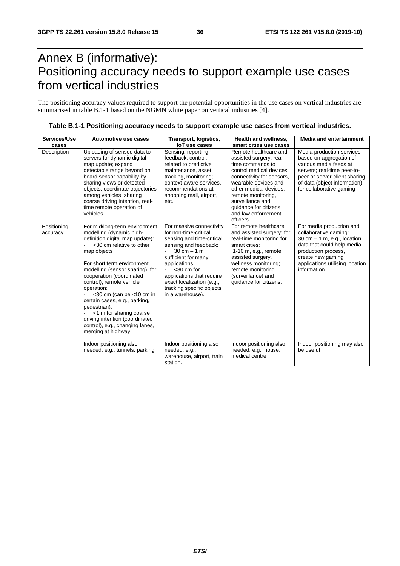# Annex B (informative): Positioning accuracy needs to support example use cases from vertical industries

The positioning accuracy values required to support the potential opportunities in the use cases on vertical industries are summarised in table B.1-1 based on the NGMN white paper on vertical industries [4].

| Services/Use            | Automotive use cases                                                                                                                                                                                                                                                                                                                                                                                                                                                               | <b>Transport, logistics,</b>                                                                                                                                                                                                                                                                                | <b>Health and wellness.</b>                                                                                                                                                                                                                                                            | <b>Media and entertainment</b>                                                                                                                                                                                 |
|-------------------------|------------------------------------------------------------------------------------------------------------------------------------------------------------------------------------------------------------------------------------------------------------------------------------------------------------------------------------------------------------------------------------------------------------------------------------------------------------------------------------|-------------------------------------------------------------------------------------------------------------------------------------------------------------------------------------------------------------------------------------------------------------------------------------------------------------|----------------------------------------------------------------------------------------------------------------------------------------------------------------------------------------------------------------------------------------------------------------------------------------|----------------------------------------------------------------------------------------------------------------------------------------------------------------------------------------------------------------|
| cases                   |                                                                                                                                                                                                                                                                                                                                                                                                                                                                                    | loT use cases                                                                                                                                                                                                                                                                                               | smart cities use cases                                                                                                                                                                                                                                                                 |                                                                                                                                                                                                                |
| Description             | Uploading of sensed data to<br>servers for dynamic digital<br>map update; expand<br>detectable range beyond on<br>board sensor capability by<br>sharing views or detected<br>objects, coordinate trajectories<br>among vehicles, sharing<br>coarse driving intention, real-<br>time remote operation of<br>vehicles.                                                                                                                                                               | Sensing, reporting,<br>feedback, control,<br>related to predictive<br>maintenance, asset<br>tracking, monitoring;<br>context-aware services,<br>recommendations at<br>shopping mall, airport,<br>etc.                                                                                                       | Remote healthcare and<br>assisted surgery; real-<br>time commands to<br>control medical devices;<br>connectivity for sensors,<br>wearable devices and<br>other medical devices;<br>remote monitoring,<br>surveillance and<br>quidance for citizens<br>and law enforcement<br>officers. | Media production services<br>based on aggregation of<br>various media feeds at<br>servers; real-time peer-to-<br>peer or server-client sharing<br>of data (object information)<br>for collaborative gaming     |
| Positioning<br>accuracy | For mid/long-term environment<br>modelling (dynamic high-<br>definition digital map update):<br><30 cm relative to other<br>map objects<br>For short term environment<br>modelling (sensor sharing), for<br>cooperation (coordinated<br>control), remote vehicle<br>operation:<br><30 cm (can be <10 cm in<br>certain cases, e.g., parking,<br>pedestrian);<br><1 m for sharing coarse<br>driving intention (coordinated<br>control), e.g., changing lanes,<br>merging at highway. | For massive connectivity<br>for non-time-critical<br>sensing and time-critical<br>sensing and feedback:<br>$30 \text{ cm} - 1 \text{ m}$<br>sufficient for many<br>applications<br>$<$ 30 cm for<br>applications that require<br>exact localization (e.g.,<br>tracking specific objects<br>in a warehouse). | For remote healthcare<br>and assisted surgery; for<br>real-time monitoring for<br>smart cities:<br>$1-10$ m, e.g., remote<br>assisted surgery,<br>wellness monitoring;<br>remote monitoring<br>(surveillance) and<br>quidance for citizens.                                            | For media production and<br>collaborative gaming:<br>30 cm $-$ 1 m, e.g., location<br>data that could help media<br>production process.<br>create new gaming<br>applications utilising location<br>information |
|                         | Indoor positioning also<br>needed, e.g., tunnels, parking.                                                                                                                                                                                                                                                                                                                                                                                                                         | Indoor positioning also<br>needed, e.g.,<br>warehouse, airport, train<br>station.                                                                                                                                                                                                                           | Indoor positioning also<br>needed, e.g., house,<br>medical centre                                                                                                                                                                                                                      | Indoor positioning may also<br>be useful                                                                                                                                                                       |

| Table B.1-1 Positioning accuracy needs to support example use cases from vertical industries. |
|-----------------------------------------------------------------------------------------------|
|-----------------------------------------------------------------------------------------------|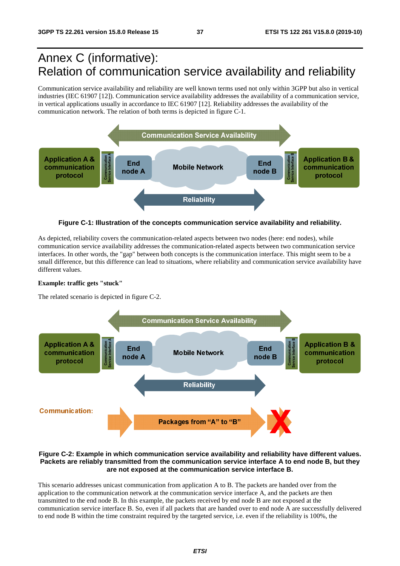# Annex C (informative): Relation of communication service availability and reliability

Communication service availability and reliability are well known terms used not only within 3GPP but also in vertical industries (IEC 61907 [12]). Communication service availability addresses the availability of a communication service, in vertical applications usually in accordance to IEC 61907 [12]. Reliability addresses the availability of the communication network. The relation of both terms is depicted in figure C-1.



**Figure C-1: Illustration of the concepts communication service availability and reliability.** 

As depicted, reliability covers the communication-related aspects between two nodes (here: end nodes), while communication service availability addresses the communication-related aspects between two communication service interfaces. In other words, the "gap" between both concepts is the communication interface. This might seem to be a small difference, but this difference can lead to situations, where reliability and communication service availability have different values.

#### **Example: traffic gets "stuck"**

The related scenario is depicted in figure C-2.



#### **Figure C-2: Example in which communication service availability and reliability have different values. Packets are reliably transmitted from the communication service interface A to end node B, but they are not exposed at the communication service interface B.**

This scenario addresses unicast communication from application A to B. The packets are handed over from the application to the communication network at the communication service interface A, and the packets are then transmitted to the end node B. In this example, the packets received by end node B are not exposed at the communication service interface B. So, even if all packets that are handed over to end node A are successfully delivered to end node B within the time constraint required by the targeted service, i.e. even if the reliability is 100%, the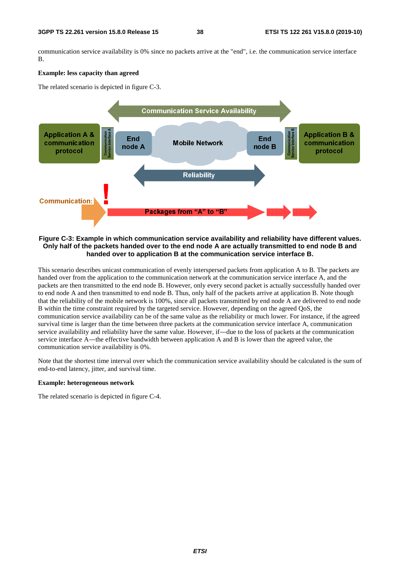communication service availability is 0% since no packets arrive at the "end", i.e. the communication service interface B.

#### **Example: less capacity than agreed**

The related scenario is depicted in figure C-3.



#### **Figure C-3: Example in which communication service availability and reliability have different values. Only half of the packets handed over to the end node A are actually transmitted to end node B and handed over to application B at the communication service interface B.**

This scenario describes unicast communication of evenly interspersed packets from application A to B. The packets are handed over from the application to the communication network at the communication service interface A, and the packets are then transmitted to the end node B. However, only every second packet is actually successfully handed over to end node A and then transmitted to end node B. Thus, only half of the packets arrive at application B. Note though that the reliability of the mobile network is 100%, since all packets transmitted by end node A are delivered to end node B within the time constraint required by the targeted service. However, depending on the agreed QoS, the communication service availability can be of the same value as the reliability or much lower. For instance, if the agreed survival time is larger than the time between three packets at the communication service interface A, communication service availability and reliability have the same value. However, if―due to the loss of packets at the communication service interface A—the effective bandwidth between application A and B is lower than the agreed value, the communication service availability is 0%.

Note that the shortest time interval over which the communication service availability should be calculated is the sum of end-to-end latency, jitter, and survival time.

#### **Example: heterogeneous network**

The related scenario is depicted in figure C-4.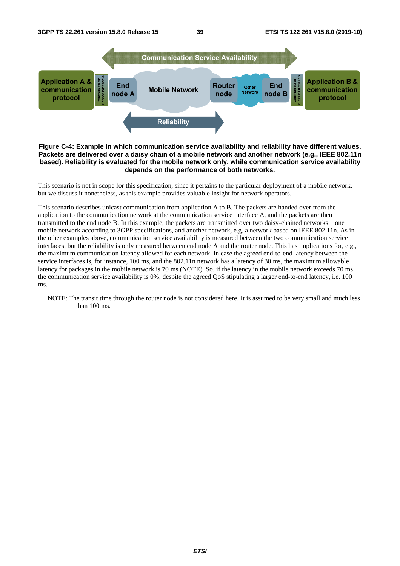

#### **Figure C-4: Example in which communication service availability and reliability have different values. Packets are delivered over a daisy chain of a mobile network and another network (e.g., IEEE 802.11n based). Reliability is evaluated for the mobile network only, while communication service availability depends on the performance of both networks.**

This scenario is not in scope for this specification, since it pertains to the particular deployment of a mobile network, but we discuss it nonetheless, as this example provides valuable insight for network operators.

This scenario describes unicast communication from application A to B. The packets are handed over from the application to the communication network at the communication service interface A, and the packets are then transmitted to the end node B. In this example, the packets are transmitted over two daisy-chained networks―one mobile network according to 3GPP specifications, and another network, e.g. a network based on IEEE 802.11n. As in the other examples above, communication service availability is measured between the two communication service interfaces, but the reliability is only measured between end node A and the router node. This has implications for, e.g., the maximum communication latency allowed for each network. In case the agreed end-to-end latency between the service interfaces is, for instance, 100 ms, and the 802.11n network has a latency of 30 ms, the maximum allowable latency for packages in the mobile network is 70 ms (NOTE). So, if the latency in the mobile network exceeds 70 ms, the communication service availability is 0%, despite the agreed QoS stipulating a larger end-to-end latency, i.e. 100 ms.

NOTE: The transit time through the router node is not considered here. It is assumed to be very small and much less than 100 ms.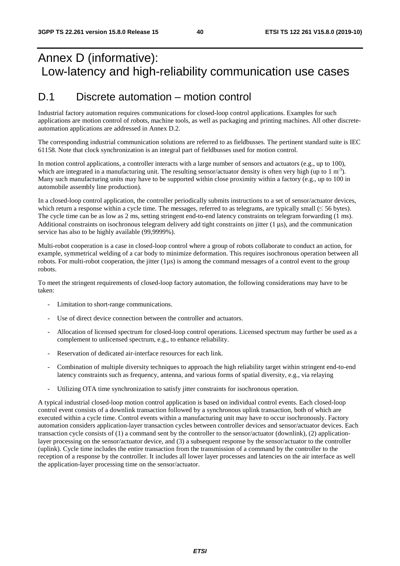# Annex D (informative): Low-latency and high-reliability communication use cases

### D.1 Discrete automation – motion control

Industrial factory automation requires communications for closed-loop control applications. Examples for such applications are motion control of robots, machine tools, as well as packaging and printing machines. All other discreteautomation applications are addressed in Annex D.2.

The corresponding industrial communication solutions are referred to as fieldbusses. The pertinent standard suite is IEC 61158. Note that clock synchronization is an integral part of fieldbusses used for motion control.

In motion control applications, a controller interacts with a large number of sensors and actuators (e.g., up to 100), which are integrated in a manufacturing unit. The resulting sensor/actuator density is often very high (up to 1 m<sup>-3</sup>). Many such manufacturing units may have to be supported within close proximity within a factory (e.g., up to 100 in automobile assembly line production).

In a closed-loop control application, the controller periodically submits instructions to a set of sensor/actuator devices, which return a response within a cycle time. The messages, referred to as telegrams, are typically small ( $\leq$  56 bytes). The cycle time can be as low as 2 ms, setting stringent end-to-end latency constraints on telegram forwarding (1 ms). Additional constraints on isochronous telegram delivery add tight constraints on jitter  $(1 \mu s)$ , and the communication service has also to be highly available (99,9999%).

Multi-robot cooperation is a case in closed-loop control where a group of robots collaborate to conduct an action, for example, symmetrical welding of a car body to minimize deformation. This requires isochronous operation between all robots. For multi-robot cooperation, the jitter  $(1\mu s)$  is among the command messages of a control event to the group robots.

To meet the stringent requirements of closed-loop factory automation, the following considerations may have to be taken:

- Limitation to short-range communications.
- Use of direct device connection between the controller and actuators.
- Allocation of licensed spectrum for closed-loop control operations. Licensed spectrum may further be used as a complement to unlicensed spectrum, e.g., to enhance reliability.
- Reservation of dedicated air-interface resources for each link.
- Combination of multiple diversity techniques to approach the high reliability target within stringent end-to-end latency constraints such as frequency, antenna, and various forms of spatial diversity, e.g., via relaying
- Utilizing OTA time synchronization to satisfy jitter constraints for isochronous operation.

A typical industrial closed-loop motion control application is based on individual control events. Each closed-loop control event consists of a downlink transaction followed by a synchronous uplink transaction, both of which are executed within a cycle time. Control events within a manufacturing unit may have to occur isochronously. Factory automation considers application-layer transaction cycles between controller devices and sensor/actuator devices. Each transaction cycle consists of (1) a command sent by the controller to the sensor/actuator (downlink), (2) applicationlayer processing on the sensor/actuator device, and (3) a subsequent response by the sensor/actuator to the controller (uplink). Cycle time includes the entire transaction from the transmission of a command by the controller to the reception of a response by the controller. It includes all lower layer processes and latencies on the air interface as well the application-layer processing time on the sensor/actuator.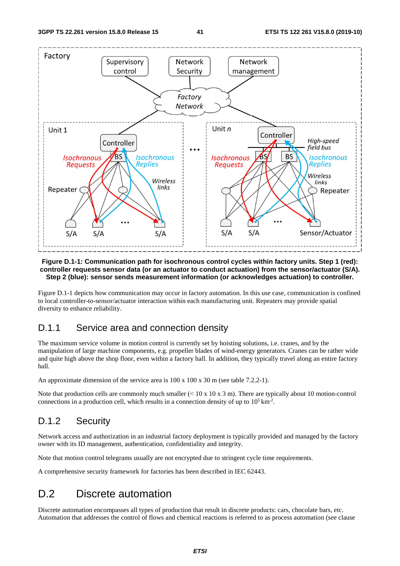

#### **Figure D.1-1: Communication path for isochronous control cycles within factory units. Step 1 (red): controller requests sensor data (or an actuator to conduct actuation) from the sensor/actuator (S/A). Step 2 (blue): sensor sends measurement information (or acknowledges actuation) to controller.**

Figure D.1-1 depicts how communication may occur in factory automation. In this use case, communication is confined to local controller-to-sensor/actuator interaction within each manufacturing unit. Repeaters may provide spatial diversity to enhance reliability.

### D.1.1 Service area and connection density

The maximum service volume in motion control is currently set by hoisting solutions, i.e. cranes, and by the manipulation of large machine components, e.g. propeller blades of wind-energy generators. Cranes can be rather wide and quite high above the shop floor, even within a factory hall. In addition, they typically travel along an entire factory hall.

An approximate dimension of the service area is 100 x 100 x 30 m (see table 7.2.2-1).

Note that production cells are commonly much smaller  $(< 10 \times 10 \times 3 \text{ m})$ . There are typically about 10 motion-control connections in a production cell, which results in a connection density of up to  $10^5 \text{ km}^2$ .

#### D.1.2 Security

Network access and authorization in an industrial factory deployment is typically provided and managed by the factory owner with its ID management, authentication, confidentiality and integrity.

Note that motion control telegrams usually are not encrypted due to stringent cycle time requirements.

A comprehensive security framework for factories has been described in IEC 62443.

# D.2 Discrete automation

Discrete automation encompasses all types of production that result in discrete products: cars, chocolate bars, etc. Automation that addresses the control of flows and chemical reactions is referred to as process automation (see clause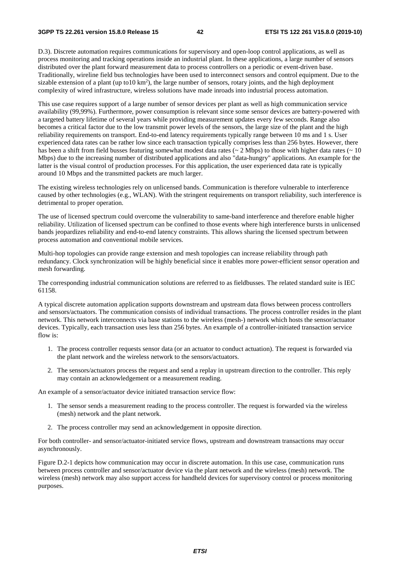D.3). Discrete automation requires communications for supervisory and open-loop control applications, as well as process monitoring and tracking operations inside an industrial plant. In these applications, a large number of sensors distributed over the plant forward measurement data to process controllers on a periodic or event-driven base. Traditionally, wireline field bus technologies have been used to interconnect sensors and control equipment. Due to the sizable extension of a plant (up to10  $km^2$ ), the large number of sensors, rotary joints, and the high deployment complexity of wired infrastructure, wireless solutions have made inroads into industrial process automation.

This use case requires support of a large number of sensor devices per plant as well as high communication service availability (99,99%). Furthermore, power consumption is relevant since some sensor devices are battery-powered with a targeted battery lifetime of several years while providing measurement updates every few seconds. Range also becomes a critical factor due to the low transmit power levels of the sensors, the large size of the plant and the high reliability requirements on transport. End-to-end latency requirements typically range between 10 ms and 1 s. User experienced data rates can be rather low since each transaction typically comprises less than 256 bytes. However, there has been a shift from field busses featuring somewhat modest data rates ( $\sim 2$  Mbps) to those with higher data rates ( $\sim 10$ Mbps) due to the increasing number of distributed applications and also "data-hungry" applications. An example for the latter is the visual control of production processes. For this application, the user experienced data rate is typically around 10 Mbps and the transmitted packets are much larger.

The existing wireless technologies rely on unlicensed bands. Communication is therefore vulnerable to interference caused by other technologies (e.g., WLAN). With the stringent requirements on transport reliability, such interference is detrimental to proper operation.

The use of licensed spectrum could overcome the vulnerability to same-band interference and therefore enable higher reliability. Utilization of licensed spectrum can be confined to those events where high interference bursts in unlicensed bands jeopardizes reliability and end-to-end latency constraints. This allows sharing the licensed spectrum between process automation and conventional mobile services.

Multi-hop topologies can provide range extension and mesh topologies can increase reliability through path redundancy. Clock synchronization will be highly beneficial since it enables more power-efficient sensor operation and mesh forwarding.

The corresponding industrial communication solutions are referred to as fieldbusses. The related standard suite is IEC 61158.

A typical discrete automation application supports downstream and upstream data flows between process controllers and sensors/actuators. The communication consists of individual transactions. The process controller resides in the plant network. This network interconnects via base stations to the wireless (mesh-) network which hosts the sensor/actuator devices. Typically, each transaction uses less than 256 bytes. An example of a controller-initiated transaction service flow is:

- 1. The process controller requests sensor data (or an actuator to conduct actuation). The request is forwarded via the plant network and the wireless network to the sensors/actuators.
- 2. The sensors/actuators process the request and send a replay in upstream direction to the controller. This reply may contain an acknowledgement or a measurement reading.

An example of a sensor/actuator device initiated transaction service flow:

- 1. The sensor sends a measurement reading to the process controller. The request is forwarded via the wireless (mesh) network and the plant network.
- 2. The process controller may send an acknowledgement in opposite direction.

For both controller- and sensor/actuator-initiated service flows, upstream and downstream transactions may occur asynchronously.

Figure D.2-1 depicts how communication may occur in discrete automation. In this use case, communication runs between process controller and sensor/actuator device via the plant network and the wireless (mesh) network. The wireless (mesh) network may also support access for handheld devices for supervisory control or process monitoring purposes.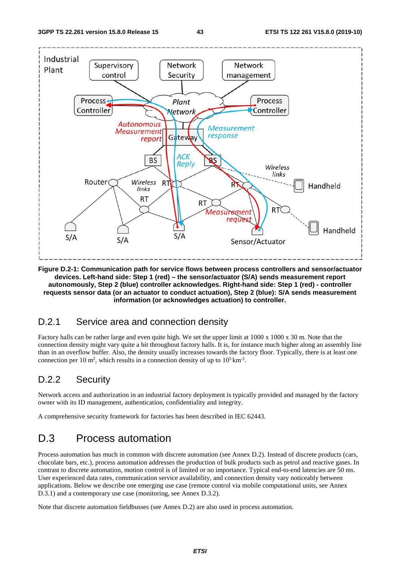

**Figure D.2-1: Communication path for service flows between process controllers and sensor/actuator devices. Left-hand side: Step 1 (red) – the sensor/actuator (S/A) sends measurement report autonomously, Step 2 (blue) controller acknowledges. Right-hand side: Step 1 (red) - controller requests sensor data (or an actuator to conduct actuation), Step 2 (blue): S/A sends measurement information (or acknowledges actuation) to controller.** 

### D.2.1 Service area and connection density

Factory halls can be rather large and even quite high. We set the upper limit at 1000 x 1000 x 30 m. Note that the connection density might vary quite a bit throughout factory halls. It is, for instance much higher along an assembly line than in an overflow buffer. Also, the density usually increases towards the factory floor. Typically, there is at least one connection per 10 m<sup>2</sup>, which results in a connection density of up to  $10^5 \text{ km}^2$ .

### D.2.2 Security

Network access and authorization in an industrial factory deployment is typically provided and managed by the factory owner with its ID management, authentication, confidentiality and integrity.

A comprehensive security framework for factories has been described in IEC 62443.

### D.3 Process automation

Process automation has much in common with discrete automation (see Annex D.2). Instead of discrete products (cars, chocolate bars, etc.), process automation addresses the production of bulk products such as petrol and reactive gases. In contrast to discrete automation, motion control is of limited or no importance. Typical end-to-end latencies are 50 ms. User experienced data rates, communication service availability, and connection density vary noticeably between applications. Below we describe one emerging use case (remote control via mobile computational units, see Annex D.3.1) and a contemporary use case (monitoring, see Annex D.3.2).

Note that discrete automation fieldbusses (see Annex D.2) are also used in process automation.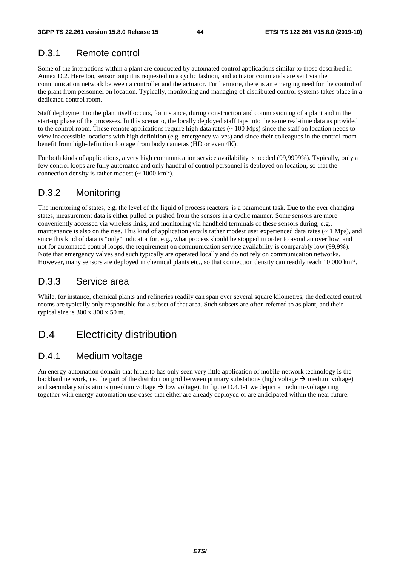### D.3.1 Remote control

Some of the interactions within a plant are conducted by automated control applications similar to those described in Annex D.2. Here too, sensor output is requested in a cyclic fashion, and actuator commands are sent via the communication network between a controller and the actuator. Furthermore, there is an emerging need for the control of the plant from personnel on location. Typically, monitoring and managing of distributed control systems takes place in a dedicated control room.

Staff deployment to the plant itself occurs, for instance, during construction and commissioning of a plant and in the start-up phase of the processes. In this scenario, the locally deployed staff taps into the same real-time data as provided to the control room. These remote applications require high data rates (~ 100 Mps) since the staff on location needs to view inaccessible locations with high definition (e.g. emergency valves) and since their colleagues in the control room benefit from high-definition footage from body cameras (HD or even 4K).

For both kinds of applications, a very high communication service availability is needed (99,9999%). Typically, only a few control loops are fully automated and only handful of control personnel is deployed on location, so that the connection density is rather modest  $({\sim 1000 \text{ km}^{-2}})$ .

### D.3.2 Monitoring

The monitoring of states, e.g. the level of the liquid of process reactors, is a paramount task. Due to the ever changing states, measurement data is either pulled or pushed from the sensors in a cyclic manner. Some sensors are more conveniently accessed via wireless links, and monitoring via handheld terminals of these sensors during, e.g., maintenance is also on the rise. This kind of application entails rather modest user experienced data rates (~ 1 Mps), and since this kind of data is "only" indicator for, e.g., what process should be stopped in order to avoid an overflow, and not for automated control loops, the requirement on communication service availability is comparably low (99,9%). Note that emergency valves and such typically are operated locally and do not rely on communication networks. However, many sensors are deployed in chemical plants etc., so that connection density can readily reach 10 000 km<sup>-2</sup>.

#### D.3.3 Service area

While, for instance, chemical plants and refineries readily can span over several square kilometres, the dedicated control rooms are typically only responsible for a subset of that area. Such subsets are often referred to as plant, and their typical size is 300 x 300 x 50 m.

# D.4 Electricity distribution

#### D.4.1 Medium voltage

An energy-automation domain that hitherto has only seen very little application of mobile-network technology is the backhaul network, i.e. the part of the distribution grid between primary substations (high voltage  $\rightarrow$  medium voltage) and secondary substations (medium voltage  $\rightarrow$  low voltage). In figure D.4.1-1 we depict a medium-voltage ring together with energy-automation use cases that either are already deployed or are anticipated within the near future.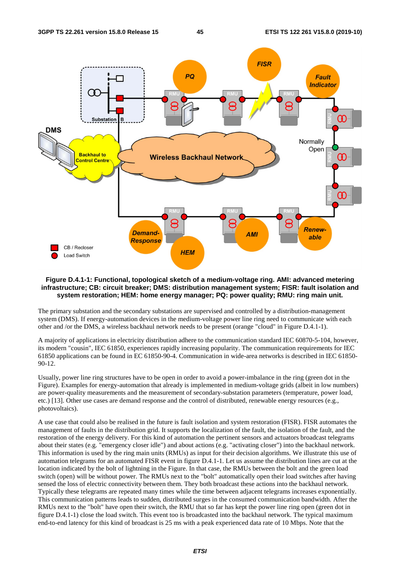

#### **Figure D.4.1-1: Functional, topological sketch of a medium-voltage ring. AMI: advanced metering infrastructure; CB: circuit breaker; DMS: distribution management system; FISR: fault isolation and system restoration; HEM: home energy manager; PQ: power quality; RMU: ring main unit.**

The primary substation and the secondary substations are supervised and controlled by a distribution-management system (DMS). If energy-automation devices in the medium-voltage power line ring need to communicate with each other and /or the DMS, a wireless backhaul network needs to be present (orange "cloud" in Figure D.4.1-1).

A majority of applications in electricity distribution adhere to the communication standard IEC 60870-5-104, however, its modern "cousin", IEC 61850, experiences rapidly increasing popularity. The communication requirements for IEC 61850 applications can be found in EC 61850-90-4. Communication in wide-area networks is described in IEC 61850- 90-12.

Usually, power line ring structures have to be open in order to avoid a power-imbalance in the ring (green dot in the Figure). Examples for energy-automation that already is implemented in medium-voltage grids (albeit in low numbers) are power-quality measurements and the measurement of secondary-substation parameters (temperature, power load, etc.) [13]. Other use cases are demand response and the control of distributed, renewable energy resources (e.g., photovoltaics).

A use case that could also be realised in the future is fault isolation and system restoration (FISR). FISR automates the management of faults in the distribution grid. It supports the localization of the fault, the isolation of the fault, and the restoration of the energy delivery. For this kind of automation the pertinent sensors and actuators broadcast telegrams about their states (e.g. "emergency closer idle") and about actions (e.g. "activating closer") into the backhaul network. This information is used by the ring main units (RMUs) as input for their decision algorithms. We illustrate this use of automation telegrams for an automated FISR event in figure D.4.1-1. Let us assume the distribution lines are cut at the location indicated by the bolt of lightning in the Figure. In that case, the RMUs between the bolt and the green load switch (open) will be without power. The RMUs next to the "bolt" automatically open their load switches after having sensed the loss of electric connectivity between them. They both broadcast these actions into the backhaul network. Typically these telegrams are repeated many times while the time between adjacent telegrams increases exponentially. This communication patterns leads to sudden, distributed surges in the consumed communication bandwidth. After the RMUs next to the "bolt" have open their switch, the RMU that so far has kept the power line ring open (green dot in figure D.4.1-1) close the load switch. This event too is broadcasted into the backhaul network. The typical maximum end-to-end latency for this kind of broadcast is 25 ms with a peak experienced data rate of 10 Mbps. Note that the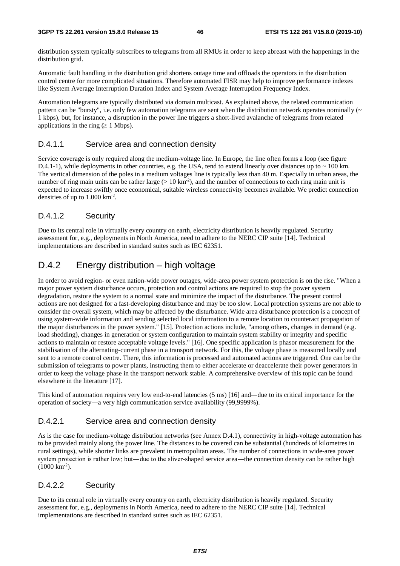distribution system typically subscribes to telegrams from all RMUs in order to keep abreast with the happenings in the distribution grid.

Automatic fault handling in the distribution grid shortens outage time and offloads the operators in the distribution control centre for more complicated situations. Therefore automated FISR may help to improve performance indexes like System Average Interruption Duration Index and System Average Interruption Frequency Index.

Automation telegrams are typically distributed via domain multicast. As explained above, the related communication pattern can be "bursty", i.e. only few automation telegrams are sent when the distribution network operates nominally  $(\sim$ 1 kbps), but, for instance, a disruption in the power line triggers a short-lived avalanche of telegrams from related applications in the ring ( $\geq 1$  Mbps).

#### D.4.1.1 Service area and connection density

Service coverage is only required along the medium-voltage line. In Europe, the line often forms a loop (see figure D.4.1-1), while deployments in other countries, e.g. the USA, tend to extend linearly over distances up to  $\sim$  100 km. The vertical dimension of the poles in a medium voltages line is typically less than 40 m. Especially in urban areas, the number of ring main units can be rather large  $(> 10 \text{ km}^{-2})$ , and the number of connections to each ring main unit is expected to increase swiftly once economical, suitable wireless connectivity becomes available. We predict connection densities of up to  $1.000 \mathrm{km}^2$ .

#### D.4.1.2 Security

Due to its central role in virtually every country on earth, electricity distribution is heavily regulated. Security assessment for, e.g., deployments in North America, need to adhere to the NERC CIP suite [14]. Technical implementations are described in standard suites such as IEC 62351.

### D.4.2 Energy distribution – high voltage

In order to avoid region- or even nation-wide power outages, wide-area power system protection is on the rise. "When a major power system disturbance occurs, protection and control actions are required to stop the power system degradation, restore the system to a normal state and minimize the impact of the disturbance. The present control actions are not designed for a fast-developing disturbance and may be too slow. Local protection systems are not able to consider the overall system, which may be affected by the disturbance. Wide area disturbance protection is a concept of using system-wide information and sending selected local information to a remote location to counteract propagation of the major disturbances in the power system." [15]. Protection actions include, "among others, changes in demand (e.g. load shedding), changes in generation or system configuration to maintain system stability or integrity and specific actions to maintain or restore acceptable voltage levels." [16]. One specific application is phasor measurement for the stabilisation of the alternating-current phase in a transport network. For this, the voltage phase is measured locally and sent to a remote control centre. There, this information is processed and automated actions are triggered. One can be the submission of telegrams to power plants, instructing them to either accelerate or deaccelerate their power generators in order to keep the voltage phase in the transport network stable. A comprehensive overview of this topic can be found elsewhere in the literature [17].

This kind of automation requires very low end-to-end latencies (5 ms) [16] and—due to its critical importance for the operation of society―a very high communication service availability (99,9999%).

#### D.4.2.1 Service area and connection density

As is the case for medium-voltage distribution networks (see Annex D.4.1), connectivity in high-voltage automation has to be provided mainly along the power line. The distances to be covered can be substantial (hundreds of kilometres in rural settings), while shorter links are prevalent in metropolitan areas. The number of connections in wide-area power system protection is rather low; but—due to the sliver-shaped service area—the connection density can be rather high  $(1000 \text{ km}^{-2})$ .

#### D.4.2.2 Security

Due to its central role in virtually every country on earth, electricity distribution is heavily regulated. Security assessment for, e.g., deployments in North America, need to adhere to the NERC CIP suite [14]. Technical implementations are described in standard suites such as IEC 62351.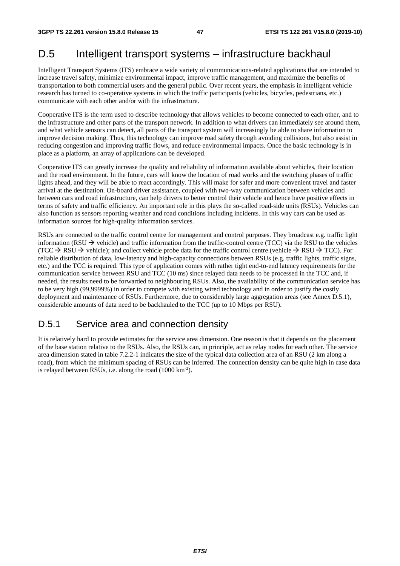# D.5 Intelligent transport systems – infrastructure backhaul

Intelligent Transport Systems (ITS) embrace a wide variety of communications-related applications that are intended to increase travel safety, minimize environmental impact, improve traffic management, and maximize the benefits of transportation to both commercial users and the general public. Over recent years, the emphasis in intelligent vehicle research has turned to co-operative systems in which the traffic participants (vehicles, bicycles, pedestrians, etc.) communicate with each other and/or with the infrastructure.

Cooperative ITS is the term used to describe technology that allows vehicles to become connected to each other, and to the infrastructure and other parts of the transport network. In addition to what drivers can immediately see around them, and what vehicle sensors can detect, all parts of the transport system will increasingly be able to share information to improve decision making. Thus, this technology can improve road safety through avoiding collisions, but also assist in reducing congestion and improving traffic flows, and reduce environmental impacts. Once the basic technology is in place as a platform, an array of applications can be developed.

Cooperative ITS can greatly increase the quality and reliability of information available about vehicles, their location and the road environment. In the future, cars will know the location of road works and the switching phases of traffic lights ahead, and they will be able to react accordingly. This will make for safer and more convenient travel and faster arrival at the destination. On-board driver assistance, coupled with two-way communication between vehicles and between cars and road infrastructure, can help drivers to better control their vehicle and hence have positive effects in terms of safety and traffic efficiency. An important role in this plays the so-called road-side units (RSUs). Vehicles can also function as sensors reporting weather and road conditions including incidents. In this way cars can be used as information sources for high-quality information services.

RSUs are connected to the traffic control centre for management and control purposes. They broadcast e.g. traffic light information (RSU  $\rightarrow$  vehicle) and traffic information from the traffic-control centre (TCC) via the RSU to the vehicles (TCC  $\rightarrow$  RSU  $\rightarrow$  vehicle); and collect vehicle probe data for the traffic control centre (vehicle  $\rightarrow$  RSU  $\rightarrow$  TCC). For reliable distribution of data, low-latency and high-capacity connections between RSUs (e.g. traffic lights, traffic signs, etc.) and the TCC is required. This type of application comes with rather tight end-to-end latency requirements for the communication service between RSU and TCC (10 ms) since relayed data needs to be processed in the TCC and, if needed, the results need to be forwarded to neighbouring RSUs. Also, the availability of the communication service has to be very high (99,9999%) in order to compete with existing wired technology and in order to justify the costly deployment and maintenance of RSUs. Furthermore, due to considerably large aggregation areas (see Annex D.5.1), considerable amounts of data need to be backhauled to the TCC (up to 10 Mbps per RSU).

# D.5.1 Service area and connection density

It is relatively hard to provide estimates for the service area dimension. One reason is that it depends on the placement of the base station relative to the RSUs. Also, the RSUs can, in principle, act as relay nodes for each other. The service area dimension stated in table 7.2.2-1 indicates the size of the typical data collection area of an RSU (2 km along a road), from which the minimum spacing of RSUs can be inferred. The connection density can be quite high in case data is relayed between RSUs, i.e. along the road (1000 km<sup>-2</sup>).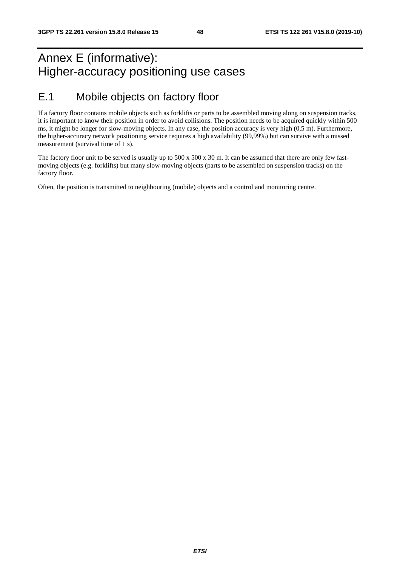# Annex E (informative): Higher-accuracy positioning use cases

# E.1 Mobile objects on factory floor

If a factory floor contains mobile objects such as forklifts or parts to be assembled moving along on suspension tracks, it is important to know their position in order to avoid collisions. The position needs to be acquired quickly within 500 ms, it might be longer for slow-moving objects. In any case, the position accuracy is very high (0,5 m). Furthermore, the higher-accuracy network positioning service requires a high availability (99,99%) but can survive with a missed measurement (survival time of 1 s).

The factory floor unit to be served is usually up to 500 x 500 x 30 m. It can be assumed that there are only few fastmoving objects (e.g. forklifts) but many slow-moving objects (parts to be assembled on suspension tracks) on the factory floor.

Often, the position is transmitted to neighbouring (mobile) objects and a control and monitoring centre.

*ETSI*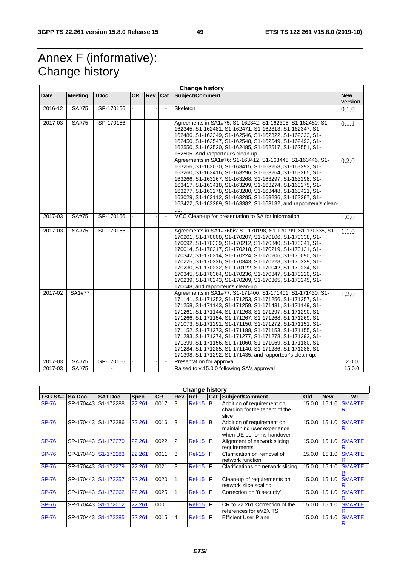# Annex F (informative): Change history

| <b>Change history</b> |                |             |           |     |                |                                                                                                                                                                                                                                                                                                                                                                                                                                                                                                                                                                                                                                                                           |                       |
|-----------------------|----------------|-------------|-----------|-----|----------------|---------------------------------------------------------------------------------------------------------------------------------------------------------------------------------------------------------------------------------------------------------------------------------------------------------------------------------------------------------------------------------------------------------------------------------------------------------------------------------------------------------------------------------------------------------------------------------------------------------------------------------------------------------------------------|-----------------------|
| Date                  | <b>Meeting</b> | <b>TDoc</b> | <b>CR</b> | Rev | <b>Cat</b>     | Subject/Comment                                                                                                                                                                                                                                                                                                                                                                                                                                                                                                                                                                                                                                                           | <b>New</b><br>version |
| 2016-12               | SA#75          | SP-170156   |           |     |                | Skeleton                                                                                                                                                                                                                                                                                                                                                                                                                                                                                                                                                                                                                                                                  | 0.1.0                 |
| 2017-03               | SA#75          | SP-170156   |           |     | $\sim$         | Agreements in SA1#75: S1-162342, S1-162305, S1-162480, S1-<br>162345, S1-162481, S1-162471, S1-162313, S1-162347, S1-<br>162486, S1-162349, S1-162546, S1-162322, S1-162323, S1-<br>162450, S1-162547, S1-162548, S1-162549, S1-162492, S1-<br>162550, S1-162520, S1-162485, S1-162517, S1-162551, S1-<br>162505. And rapporteur's clean-up.                                                                                                                                                                                                                                                                                                                              | 0.1.1                 |
|                       |                |             |           |     |                | Agreements in SA1#76: S1-163412, S1-163445, S1-163446, S1-<br>163256, S1-163070, S1-163415, S1-163258, S1-163293, S1-<br>163260, S1-163416, S1-163296, S1-163264, S1-163265, S1-<br>163266, S1-163267, S1-163268, S1-163297, S1-163298, S1-<br>163417, S1-163418, S1-163299, S1-163274, S1-163275, S1-<br>163277, S1-163278, S1-163280, S1-163448, S1-163421, S1-<br>163029, S1-163112, S1-163285, S1-163286, S1-163287, S1-<br>163422, S1-163289, S1-163382, S1-163132, and rapporteur's clean-<br>up.                                                                                                                                                                   | 0.2.0                 |
| 2017-03               | SA#75          | SP-170156   |           |     | $\blacksquare$ | MCC Clean-up for presentation to SA for information                                                                                                                                                                                                                                                                                                                                                                                                                                                                                                                                                                                                                       | 1.0.0                 |
| 2017-03               | SA#75          | SP-170156   |           |     |                | Agreements in SA1#76bis: S1-170198, S1-170199, S1-170335, S1-<br>170201, S1-170008, S1-170207, S1-170106, S1-170338, S1-<br>170092, S1-170339, S1-170212, S1-170340, S1-170341, S1-<br>170014, S1-170217, S1-170218, S1-170219, S1-170131, S1-<br>170342, S1-170314, S1-170224, S1-170206, S1-170090, S1-<br>170225, S1-170226, S1-170343, S1-170228, S1-170229, S1-<br>170230, S1-170232, S1-170122, S1-170042, S1-170234, S1-<br>170345, S1-170364, S1-170236, S1-170347, S1-170220, S1-<br>170239, S1-170243, S1-170209, S1-170365, S1-170245, S1-<br>170048, and rapporteur's clean-up.                                                                               | 1.1.0                 |
| 2017-02               | SA1#77         |             |           |     |                | Agreements in SA1#77: S1-171400, S1-171401, S1-171430, S1-<br>171141, S1-171252, S1-171253, S1-171256, S1-171257, S1-<br>171258, S1-171143, S1-171259, S1-171431, S1-171149, S1-<br>171261, S1-171144, S1-171263, S1-171297, S1-171290, S1-<br>171266, S1-171154, S1-171267, S1-171268, S1-171269, S1-<br>171073, S1-171291, S1-171150, S1-171272, S1-171151, S1-<br>171152, S1-171273, S1-171188, S1-171153, S1-171155, S1-<br>171283, S1-171274, S1-171277, S1-171278, S1-171393, S1-<br>171399, S1-171156, S1-171060, S1-171069, S1-171180, S1-<br>171284, S1-171285, S1-171140, S1-171286, S1-171288, S1-<br>171398, S1-171292, S1-171435, and rapporteur's clean-up. | 1.2.0                 |
| 2017-03               | SA#75          | SP-170156   |           |     | $\blacksquare$ | Presentation for approval                                                                                                                                                                                                                                                                                                                                                                                                                                                                                                                                                                                                                                                 | 2.0.0                 |
| 2017-03               | SA#75          |             |           |     |                | Raised to v.15.0.0 following SA's approval                                                                                                                                                                                                                                                                                                                                                                                                                                                                                                                                                                                                                                | 15.0.0                |

| <b>Change history</b> |                     |                     |             |           |                |                 |     |                                                                                        |        |            |               |
|-----------------------|---------------------|---------------------|-------------|-----------|----------------|-----------------|-----|----------------------------------------------------------------------------------------|--------|------------|---------------|
| <b>TSG SA#</b>        | <b>SA Doc.</b>      | SA <sub>1</sub> Doc | <b>Spec</b> | <b>CR</b> | <b>Rev Rel</b> |                 | Cat | Subject/Comment                                                                        | Old    | <b>New</b> | WI            |
| <b>SP-76</b>          | SP-170443 S1-172288 |                     | 22.261      | 0017      | 3              | <b>Rel-15</b>   | B   | Addition of requirement on<br>charging for the tenant of the<br>slice                  | 15.0.0 | 15.1.0     | <b>SMARTE</b> |
| <b>SP-76</b>          | SP-170443           | S1-172286           | 22.261      | 0016      | 3              | <b>Rel-15</b>   | B   | Addition of requirement on<br>maintaining user experience<br>when UE performs handover | 15.0.0 | 15.1.0     | <b>SMARTE</b> |
| <b>SP-76</b>          | SP-170443 S1-172270 |                     | 22.261      | 0022      | 2              | $Rel-15$ $F$    |     | Alignment of network slicing<br>requirements                                           | 15.0.0 | 15.1.0     | <b>SMARTE</b> |
| <b>SP-76</b>          | SP-170443           | S1-172283           | 22.261      | 0011      | 3              | $Rel-15$ $F$    |     | Clarification on removal of<br>network function                                        | 15.0.0 | 15.1.0     | <b>SMARTE</b> |
| <b>SP-76</b>          | SP-170443 S1-172279 |                     | 22.261      | 0021      | 3              | $Rel-15$ F      |     | Clarifications on network slicing                                                      | 15.0.0 | 15.1.0     | <b>SMARTE</b> |
| <b>SP-76</b>          | SP-170443           | S1-172257           | 22.261      | 0020      |                | <b>Rel-15 F</b> |     | Clean-up of requirements on<br>network slice scaling                                   | 15.0.0 | 15.1.0     | <b>SMARTE</b> |
| <b>SP-76</b>          | SP-170443 S1-172262 |                     | 22.261      | 0025      |                | $Rel-15$        | F   | Correction on '8 securtiy'                                                             | 15.0.0 | 15.1.0     | <b>SMARTE</b> |
| <b>SP-76</b>          | SP-170443 S1-172012 |                     | 22.261      | 0001      |                | <b>Rel-15</b>   | F   | CR to 22.261 Correction of the<br>references for eV2X TS                               | 15.0.0 | 15.1.0     | <b>SMARTE</b> |
| <b>SP-76</b>          | SP-170443           | S1-172285           | 22.261      | 0015      | 4              | $Rel-15$ $F$    |     | <b>Efficient User Plane</b>                                                            | 15.0.0 | 15.1.0     | <b>SMARTE</b> |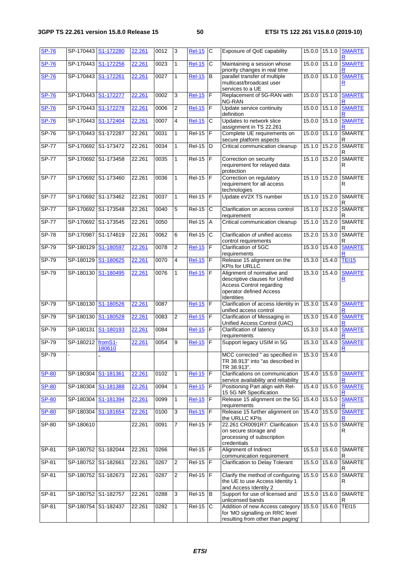| <b>SP-76</b> | SP-170443 S1-172280 |                     | 22.261 | 0012 | 3              | <b>Rel-15</b> | C                     | Exposure of QoE capability                                                                                                                | 15.0.0        | 15.1.0 | <b>SMARTE</b><br>R                       |
|--------------|---------------------|---------------------|--------|------|----------------|---------------|-----------------------|-------------------------------------------------------------------------------------------------------------------------------------------|---------------|--------|------------------------------------------|
| <b>SP-76</b> | SP-170443           | S1-172256           | 22.261 | 0023 | 1              | <b>Rel-15</b> | C                     | Maintaining a session whose<br>priority changes in real time                                                                              | 15.0.0        | 15.1.0 | <b>SMARTE</b>                            |
| <b>SP-76</b> | SP-170443 S1-172261 |                     | 22.261 | 0027 | $\mathbf{1}$   | <b>Rel-15</b> | B                     | parallel transfer of multiple<br>multicast/broadcast user<br>services to a UE                                                             | 15.0.0        | 15.1.0 | <b>SMARTE</b><br>R                       |
| <b>SP-76</b> | SP-170443           | S1-172277           | 22.261 | 0002 | 3              | <b>Rel-15</b> | F                     | Replacement of 5G-RAN with<br>NG-RAN                                                                                                      | 15.0.0        | 15.1.0 | <b>SMARTE</b><br>R                       |
| <b>SP-76</b> | SP-170443           | S1-172278           | 22.261 | 0006 | $\overline{2}$ | <b>Rel-15</b> | F                     | Update service continuity<br>definition                                                                                                   | 15.0.0        | 15.1.0 | <b>SMARTE</b>                            |
| <b>SP-76</b> | SP-170443           | S1-172404           | 22.261 | 0007 | 4              | <b>Rel-15</b> | C                     | Updates to network slice<br>assignment in TS 22.261                                                                                       | 15.0.0        | 15.1.0 | <b>SMARTE</b>                            |
| $SP-76$      |                     | SP-170443 S1-172287 | 22.261 | 0031 | 1              | $Rel-15$      | $\overline{F}$        | Complete UE requirements on<br>secure platform aspects                                                                                    | 15.0.0 15.1.0 |        | <b>SMARTE</b><br>R                       |
| $SP-77$      |                     | SP-170692 S1-173472 | 22.261 | 0034 | 1              | $Rel-15$      | D                     | Critical communication cleanup                                                                                                            | 15.1.0        | 15.2.0 | <b>SMARTE</b><br>R                       |
| <b>SP-77</b> |                     | SP-170692 S1-173458 | 22.261 | 0035 | 1              | <b>Rel-15</b> | ΙF                    | Correction on security<br>requirement for relayed data<br>protection                                                                      | 15.1.0 15.2.0 |        | <b>SMARTE</b><br>R                       |
| <b>SP-77</b> | SP-170692           | S1-173460           | 22.261 | 0036 | 1              | <b>Rel-15</b> | F                     | Correction on regulatory<br>requirement for all access<br>technologies                                                                    | 15.1.0        | 15.2.0 | <b>SMARTE</b><br>R                       |
| <b>SP-77</b> |                     | SP-170692 S1-173462 | 22.261 | 0037 | 1              | <b>Rel-15</b> | F                     | Update eV2X TS number                                                                                                                     | 15.1.0        | 15.2.0 | SMARTE<br>R                              |
| <b>SP-77</b> | SP-170692           | S1-173548           | 22.261 | 0040 | $\overline{5}$ | $Rel-15$      | $\overline{\text{c}}$ | Clarification on access control<br>requirement                                                                                            | 15.1.0        | 15.2.0 | <b>SMARTE</b><br>R                       |
| <b>SP-77</b> |                     | SP-170692 S1-173545 | 22.261 | 0050 |                | <b>Rel-15</b> | A                     | Critical communication cleanup                                                                                                            | 15.1.0        | 15.2.0 | <b>SMARTE</b><br>R                       |
| $SP-78$      | SP-170987           | S1-174619           | 22.261 | 0062 | 6              | <b>Rel-15</b> | $\overline{c}$        | Clarification of unified access<br>control requirements                                                                                   | 15.2.0        | 15.3.0 | <b>SMARTE</b><br>R                       |
| SP-79        | SP-180129           | S1-180597           | 22.261 | 0078 | $\overline{2}$ | <b>Rel-15</b> | F                     | Clarification of 5GC<br>requirements                                                                                                      | 15.3.0        | 15.4.0 | <b>SMARTE</b>                            |
| $SP-79$      |                     | SP-180129 S1-180625 | 22.261 | 0070 | 4              | <b>Rel-15</b> | E                     | Release 15 alignment on the<br><b>KPIs for URLLC</b>                                                                                      | 15.3.0 15.4.0 |        | <b>TEI15</b>                             |
| $SP-79$      | SP-180130           | S1-180495           | 22.261 | 0076 | 1              | <b>Rel-15</b> | F                     | Alignment of normative and<br>descriptive clauses for Unified<br><b>Access Control regarding</b><br>operator defined Access<br>Identities | 15.3.0        | 15.4.0 | <b>SMARTE</b><br>$\overline{\mathsf{R}}$ |
| SP-79        |                     | SP-180130 S1-180526 | 22.261 | 0087 |                | <b>Rel-15</b> | F                     | Clarification of access Identity in<br>unified access control                                                                             | 15.3.0        | 15.4.0 | <b>SMARTE</b>                            |
| SP-79        |                     | SP-180130 S1-180528 | 22.261 | 0083 | 2              | <b>Rel-15</b> | $\mathsf F$           | Clarification of Messaging in<br>Unified Access Control (UAC)                                                                             | 15.3.0 15.4.0 |        | <b>SMARTE</b><br>R                       |
| $SP-79$      | SP-180131           | S1-180193           | 22.261 | 0084 |                | <b>Rel-15</b> | F                     | Clarification of latency<br>requirements                                                                                                  | 15.3.0        | 15.4.0 | <b>SMARTE</b>                            |
| SP-79        | SP-180212 fromS1-   | 180610              | 22.261 | 0054 | 9              | <b>Rel-15</b> | F                     | Support legacy USIM in 5G                                                                                                                 | 15.3.0 15.4.0 |        | <b>SMARTE</b><br><u>ĸ</u>                |
| $SP-79$      |                     |                     |        |      |                |               |                       | MCC corrected " as specified in<br>TR 38.913" into "as described in<br>TR 38.913".                                                        | 15.3.0 15.4.0 |        |                                          |
| <b>SP-80</b> | SP-180304           | S1-181361           | 22.261 | 0102 | $\mathbf{1}$   | <b>Rel-15</b> | $\mathsf F$           | Clarifications on communication<br>service availability and reliability                                                                   | 15.4.0 15.5.0 |        | <b>SMARTE</b>                            |
| <b>SP-80</b> | SP-180304           | S1-181388           | 22.261 | 0094 | 1              | $Rel-15$      | F                     | Positioning Part align with Rel-<br>15 5G NR Specification                                                                                | 15.4.0        | 15.5.0 | <b>SMARTE</b><br>R                       |
| <b>SP-80</b> | SP-180304           | S1-181394           | 22.261 | 0099 | 1              | <b>Rel-15</b> | $\mathsf F$           | Release 15 alignment on the 5G<br>requirements                                                                                            | 15.4.0 15.5.0 |        | <b>SMARTE</b><br>R                       |
| <b>SP-80</b> | SP-180304           | S1-181654           | 22.261 | 0100 | c)             | <b>Rel-15</b> | F                     | Release 15 further alignment on<br>the URLLC KPIs                                                                                         | 15.4.0 15.5.0 |        | <b>SMARTE</b><br>R                       |
| SP-80        | SP-180610           |                     | 22.261 | 0091 | $\overline{7}$ | <b>Rel-15</b> | F                     | 22.261 CR0091R7: Clarification<br>on secure storage and<br>processing of subscription<br>credentials                                      | 15.4.0 15.5.0 |        | <b>SMARTE</b><br>R                       |
| SP-81        |                     | SP-180752 S1-182044 | 22.261 | 0266 |                | $Rel-15$ $F$  |                       | Alignment of Indirect<br>communication requirement                                                                                        | 15.5.0 15.6.0 |        | <b>SMARTE</b><br>R                       |
| SP-81        |                     | SP-180752 S1-182661 | 22.261 | 0267 | $\overline{2}$ | <b>Rel-15</b> | F                     | <b>Clarification to Delay Tolerant</b>                                                                                                    | 15.5.0        | 15.6.0 | SMARTE<br>R                              |
| SP-81        |                     | SP-180752 S1-182673 | 22.261 | 0287 | $\overline{2}$ | $Rel-15$      | F                     | Clarify the method of configuring<br>the UE to use Access Identity 1<br>and Access Identity 2                                             | 15.5.0 15.6.0 |        | <b>SMARTE</b><br>R                       |
| SP-81        |                     | SP-180752 S1-182757 | 22.261 | 0288 | 3              | <b>Rel-15</b> | B                     | Support for use of licensed and<br>unlicensed bands                                                                                       | 15.5.0 15.6.0 |        | <b>SMARTE</b><br>R                       |
| $SP-81$      |                     | SP-180754 S1-182437 | 22.261 | 0282 | $\mathbf{1}$   | <b>Rel-15</b> | $\mathsf{C}$          | Addition of new Access category<br>for 'MO signalling on RRC level<br>resulting from other than paging'                                   | 15.5.0        | 15.6.0 | <b>TEI15</b>                             |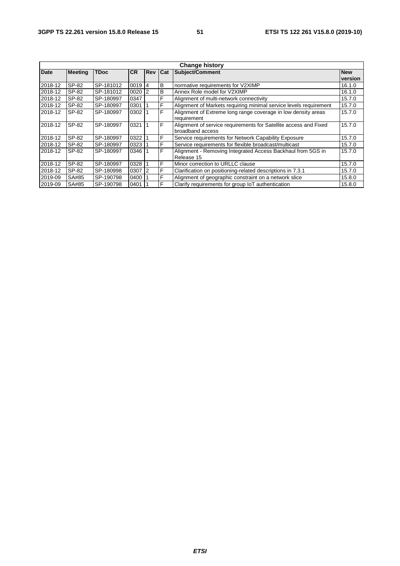| <b>Change history</b> |                |             |           |                |   |                                                                   |         |  |
|-----------------------|----------------|-------------|-----------|----------------|---|-------------------------------------------------------------------|---------|--|
| <b>Date</b>           | <b>Meeting</b> | <b>TDoc</b> | <b>CR</b> | Rev Cat        |   | Subject/Comment<br><b>New</b>                                     |         |  |
|                       |                |             |           |                |   |                                                                   | version |  |
| 2018-12               | SP-82          | SP-181012   | 0019      | <sup>4</sup>   | B | normative requirements for V2XIMP                                 | 16.1.0  |  |
| 2018-12               | SP-82          | SP-181012   | 0020      | 2              | B | Annex Role model for V2XIMP                                       | 16.1.0  |  |
| 2018-12               | SP-82          | SP-180997   | 0347      |                | F | Alignment of multi-network connectivity                           | 15.7.0  |  |
| 2018-12               | SP-82          | SP-180997   | 0301      |                | F | Alignment of Markets requiring minimal service levels requirement | 15.7.0  |  |
| 2018-12               | SP-82          | SP-180997   | 0302      |                | F | Alignment of Extreme long range coverage in low density areas     | 15.7.0  |  |
|                       |                |             |           |                |   | requirement                                                       |         |  |
| 2018-12               | SP-82          | SP-180997   | 0321      |                | F | Alignment of service requirements for Satellite access and Fixed  | 15.7.0  |  |
|                       |                |             |           |                |   | broadband access                                                  |         |  |
| 2018-12               | SP-82          | SP-180997   | 0322      |                | F | Service requirements for Network Capability Exposure              | 15.7.0  |  |
| 2018-12               | SP-82          | SP-180997   | 0323      |                | F | Service requirements for flexible broadcast/multicast             | 15.7.0  |  |
| 2018-12               | SP-82          | SP-180997   | 0346      |                | F | Alignment - Removing Integrated Access Backhaul from 5GS in       | 15.7.0  |  |
|                       |                |             |           |                |   | Release 15                                                        |         |  |
| 2018-12               | SP-82          | SP-180997   | 0328      |                | F | Minor correction to URLLC clause                                  | 15.7.0  |  |
| 2018-12               | SP-82          | SP-180998   | 0307      | $\overline{2}$ | F | Clarification on positioning-related descriptions in 7.3.1        | 15.7.0  |  |
| 2019-09               | SA#85          | SP-190798   | 0400      |                | F | Alignment of geographic constraint on a network slice             | 15.8.0  |  |
| 2019-09               | SA#85          | SP-190798   | 0401      |                | F | Clarify requirements for group IoT authentication                 | 15.8.0  |  |